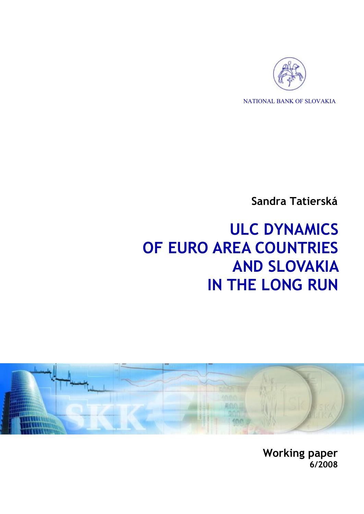

NATIONAL BANK OF SLOVAKIA

**Sandra Tatierská** 

# **ULC DYNAMICS OF EURO AREA COUNTRIES AND SLOVAKIA IN THE LONG RUN**



**Working paper 6/2008**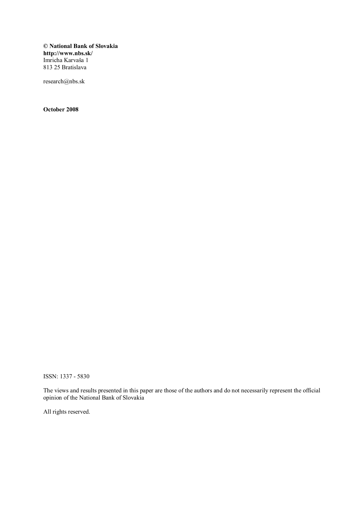**© National Bank of Slovakia http://www.nbs.sk/**  Imricha Karvaša 1 813 25 Bratislava

research@nbs.sk

**October 2008** 

ISSN: 1337 - 5830

The views and results presented in this paper are those of the authors and do not necessarily represent the official opinion of the National Bank of Slovakia

All rights reserved.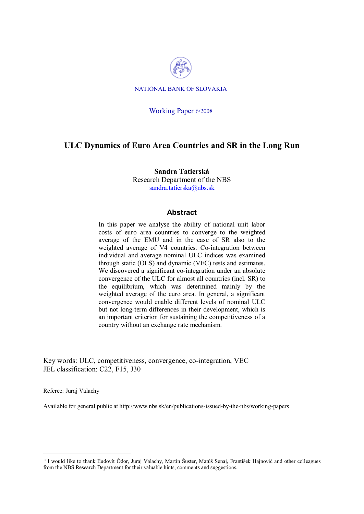

NATIONAL BANK OF SLOVAKIA

#### Working Paper 6/2008

### **ULC Dynamics of Euro Area Countries and SR in the Long Run**

**Sandra Tatierská**  Research Department of the NBS sandra.tatierska@nbs.sk

#### **Abstract**

In this paper we analyse the ability of national unit labor costs of euro area countries to converge to the weighted average of the EMU and in the case of SR also to the weighted average of V4 countries. Co-integration between individual and average nominal ULC indices was examined through static (OLS) and dynamic (VEC) tests and estimates. We discovered a significant co-integration under an absolute convergence of the ULC for almost all countries (incl. SR) to the equilibrium, which was determined mainly by the weighted average of the euro area. In general, a significant convergence would enable different levels of nominal ULC but not long-term differences in their development, which is an important criterion for sustaining the competitiveness of a country without an exchange rate mechanism.

Key words: ULC, competitiveness, convergence, co-integration, VEC JEL classification: C22, F15, J30

Referee: Juraj Valachy

 $\overline{a}$ 

Available for general public at http://www.nbs.sk/en/publications-issued-by-the-nbs/working-papers

<sup>˚</sup> I would like to thank Ľudovít Ódor, Juraj Valachy, Martin Šuster, Matúš Senaj, František Hajnovič and other colleagues from the NBS Research Department for their valuable hints, comments and suggestions.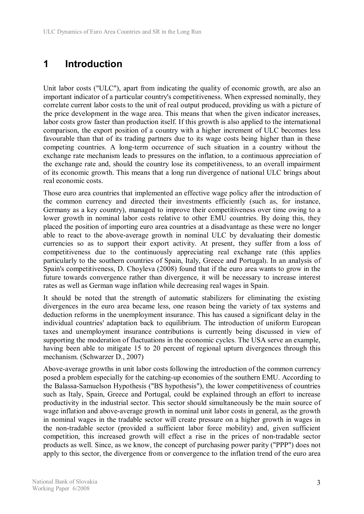# **1 Introduction**

Unit labor costs ("ULC"), apart from indicating the quality of economic growth, are also an important indicator of a particular country's competitiveness. When expressed nominally, they correlate current labor costs to the unit of real output produced, providing us with a picture of the price development in the wage area. This means that when the given indicator increases, labor costs grow faster than production itself. If this growth is also applied to the international comparison, the export position of a country with a higher increment of ULC becomes less favourable than that of its trading partners due to its wage costs being higher than in these competing countries. A long-term occurrence of such situation in a country without the exchange rate mechanism leads to pressures on the inflation, to a continuous appreciation of the exchange rate and, should the country lose its competitiveness, to an overall impairment of its economic growth. This means that a long run divergence of national ULC brings about real economic costs.

Those euro area countries that implemented an effective wage policy after the introduction of the common currency and directed their investments efficiently (such as, for instance, Germany as a key country), managed to improve their competitiveness over time owing to a lower growth in nominal labor costs relative to other EMU countries. By doing this, they placed the position of importing euro area countries at a disadvantage as these were no longer able to react to the above-average growth in nominal ULC by devaluating their domestic currencies so as to support their export activity. At present, they suffer from a loss of competitiveness due to the continuously appreciating real exchange rate (this applies particularly to the southern countries of Spain, Italy, Greece and Portugal). In an analysis of Spain's competitiveness, D. Choyleva (2008) found that if the euro area wants to grow in the future towards convergence rather than divergence, it will be necessary to increase interest rates as well as German wage inflation while decreasing real wages in Spain.

It should be noted that the strength of automatic stabilizers for eliminating the existing divergences in the euro area became less, one reason being the variety of tax systems and deduction reforms in the unemployment insurance. This has caused a significant delay in the individual countries' adaptation back to equilibrium. The introduction of uniform European taxes and unemployment insurance contributions is currently being discussed in view of supporting the moderation of fluctuations in the economic cycles. The USA serve an example, having been able to mitigate 15 to 20 percent of regional upturn divergences through this mechanism. (Schwarzer D., 2007)

Above-average growths in unit labor costs following the introduction of the common currency posed a problem especially for the catching-up economies of the southern EMU. According to the Balassa-Samuelson Hypothesis ("BS hypothesis"), the lower competitiveness of countries such as Italy, Spain, Greece and Portugal, could be explained through an effort to increase productivity in the industrial sector. This sector should simultaneously be the main source of wage inflation and above-average growth in nominal unit labor costs in general, as the growth in nominal wages in the tradable sector will create pressure on a higher growth in wages in the non-tradable sector (provided a sufficient labor force mobility) and, given sufficient competition, this increased growth will effect a rise in the prices of non-tradable sector products as well. Since, as we know, the concept of purchasing power parity ("PPP") does not apply to this sector, the divergence from or convergence to the inflation trend of the euro area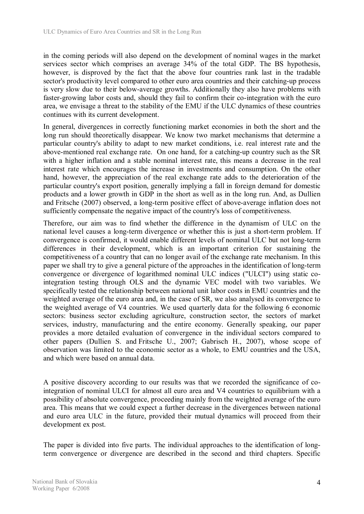in the coming periods will also depend on the development of nominal wages in the market services sector which comprises an average 34% of the total GDP. The BS hypothesis, however, is disproved by the fact that the above four countries rank last in the tradable sector's productivity level compared to other euro area countries and their catching-up process is very slow due to their below-average growths. Additionally they also have problems with faster-growing labor costs and, should they fail to confirm their co-integration with the euro area, we envisage a threat to the stability of the EMU if the ULC dynamics of these countries continues with its current development.

In general, divergences in correctly functioning market economies in both the short and the long run should theoretically disappear. We know two market mechanisms that determine a particular country's ability to adapt to new market conditions, i.e. real interest rate and the above-mentioned real exchange rate. On one hand, for a catching-up country such as the SR with a higher inflation and a stable nominal interest rate, this means a decrease in the real interest rate which encourages the increase in investments and consumption. On the other hand, however, the appreciation of the real exchange rate adds to the deterioration of the particular country's export position, generally implying a fall in foreign demand for domestic products and a lower growth in GDP in the short as well as in the long run. And, as Dullien and Fritsche (2007) observed, a long-term positive effect of above-average inflation does not sufficiently compensate the negative impact of the country's loss of competitiveness.

Therefore, our aim was to find whether the difference in the dynamism of ULC on the national level causes a long-term divergence or whether this is just a short-term problem. If convergence is confirmed, it would enable different levels of nominal ULC but not long-term differences in their development, which is an important criterion for sustaining the competitiveness of a country that can no longer avail of the exchange rate mechanism. In this paper we shall try to give a general picture of the approaches in the identification of long-term convergence or divergence of logarithmed nominal ULC indices ("ULCI") using static cointegration testing through OLS and the dynamic VEC model with two variables. We specifically tested the relationship between national unit labor costs in EMU countries and the weighted average of the euro area and, in the case of SR, we also analysed its convergence to the weighted average of V4 countries. We used quarterly data for the following 6 economic sectors: business sector excluding agriculture, construction sector, the sectors of market services, industry, manufacturing and the entire economy. Generally speaking, our paper provides a more detailed evaluation of convergence in the individual sectors compared to other papers (Dullien S. and Fritsche U., 2007; Gabrisch H., 2007), whose scope of observation was limited to the economic sector as a whole, to EMU countries and the USA, and which were based on annual data.

A positive discovery according to our results was that we recorded the significance of cointegration of nominal ULCI for almost all euro area and V4 countries to equilibrium with a possibility of absolute convergence, proceeding mainly from the weighted average of the euro area. This means that we could expect a further decrease in the divergences between national and euro area ULC in the future, provided their mutual dynamics will proceed from their development ex post.

The paper is divided into five parts. The individual approaches to the identification of longterm convergence or divergence are described in the second and third chapters. Specific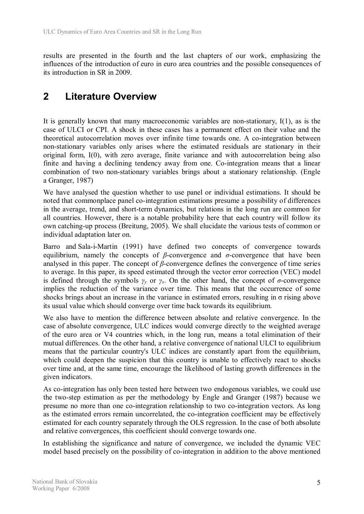results are presented in the fourth and the last chapters of our work, emphasizing the influences of the introduction of euro in euro area countries and the possible consequences of its introduction in SR in 2009.

# **2 Literature Overview**

It is generally known that many macroeconomic variables are non-stationary, I(1), as is the case of ULCI or CPI. A shock in these cases has a permanent effect on their value and the theoretical autocorrelation moves over infinite time towards one. A co-integration between non-stationary variables only arises where the estimated residuals are stationary in their original form, I(0), with zero average, finite variance and with autocorrelation being also finite and having a declining tendency away from one. Co-integration means that a linear combination of two non-stationary variables brings about a stationary relationship. (Engle a Granger, 1987)

We have analysed the question whether to use panel or individual estimations. It should be noted that commonplace panel co-integration estimations presume a possibility of differences in the average, trend, and short-term dynamics, but relations in the long run are common for all countries. However, there is a notable probability here that each country will follow its own catching-up process (Breitung, 2005). We shall elucidate the various tests of common or individual adaptation later on.

Barro and Sala-i-Martin (1991) have defined two concepts of convergence towards equilibrium, namely the concepts of *β*-convergence and *σ*-convergence that have been analysed in this paper. The concept of *β*-convergence defines the convergence of time series to average. In this paper, its speed estimated through the vector error correction (VEC) model is defined through the symbols  $\gamma_v$  or  $\gamma_x$ . On the other hand, the concept of *σ*-convergence implies the reduction of the variance over time. This means that the occurrence of some shocks brings about an increase in the variance in estimated errors, resulting in σ rising above its usual value which should converge over time back towards its equilibrium.

We also have to mention the difference between absolute and relative convergence. In the case of absolute convergence, ULC indices would converge directly to the weighted average of the euro area or V4 countries which, in the long run, means a total elimination of their mutual differences. On the other hand, a relative convergence of national ULCI to equilibrium means that the particular country's ULC indices are constantly apart from the equilibrium, which could deepen the suspicion that this country is unable to effectively react to shocks over time and, at the same time, encourage the likelihood of lasting growth differences in the given indicators.

As co-integration has only been tested here between two endogenous variables, we could use the two-step estimation as per the methodology by Engle and Granger (1987) because we presume no more than one co-integration relationship to two co-integration vectors. As long as the estimated errors remain uncorrelated, the co-integration coefficient may be effectively estimated for each country separately through the OLS regression. In the case of both absolute and relative convergences, this coefficient should converge towards one.

In establishing the significance and nature of convergence, we included the dynamic VEC model based precisely on the possibility of co-integration in addition to the above mentioned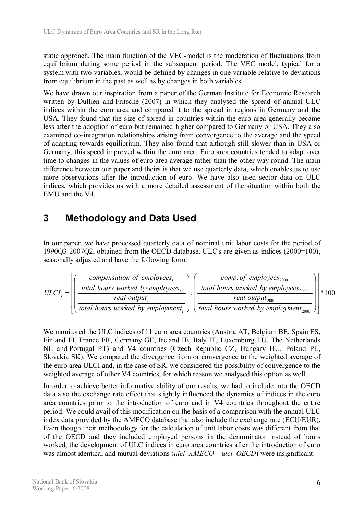static approach. The main function of the VEC-model is the moderation of fluctuations from equilibrium during some period in the subsequent period. The VEC model, typical for a system with two variables, would be defined by changes in one variable relative to deviations from equilibrium in the past as well as by changes in both variables.

We have drawn our inspiration from a paper of the German Institute for Economic Research written by Dullien and Fritsche (2007) in which they analysed the spread of annual ULC indices within the euro area and compared it to the spread in regions in Germany and the USA. They found that the size of spread in countries within the euro area generally became less after the adoption of euro but remained higher compared to Germany or USA. They also examined co-integration relationships arising from convergence to the average and the speed of adapting towards equilibrium. They also found that although still slower than in USA or Germany, this speed improved within the euro area. Euro area countries tended to adapt over time to changes in the values of euro area average rather than the other way round. The main difference between our paper and theirs is that we use quarterly data, which enables us to use more observations after the introduction of euro. We have also used sector data on ULC indices, which provides us with a more detailed assessment of the situation within both the EMU and the V4.

# **3 Methodology and Data Used**

In our paper, we have processed quarterly data of nominal unit labor costs for the period of 1990Q3-2007Q2, obtained from the OECD database. ULC's are given as indices (2000=100), seasonally adjusted and have the following form:

$$
ULCI_{t} = \left[ \left( \frac{\text{compensation of employees}_{t}}{\text{total hours worked by employees}_{t}} \right) : \left( \frac{\text{comp. of employees}_{2000}}{\text{total hours worked by employees}_{2000}} \right) \right] * 100
$$
\n
$$
ULCI_{t} = \left[ \left( \frac{\text{total hours worked by employees}_{2000}}{\text{total hours worked by employment}_{2000}} \right) \right] * 100
$$

We monitored the ULC indices of 11 euro area countries (Austria AT, Belgium BE, Spain ES, Finland FI, France FR, Germany GE, Ireland IE, Italy IT, Luxemburg LU, The Netherlands NL and Portugal PT) and V4 countries (Czech Republic CZ, Hungary HU, Poland PL, Slovakia SK). We compared the divergence from or convergence to the weighted average of the euro area ULCI and, in the case of SR, we considered the possibility of convergence to the weighted average of other V4 countries, for which reason we analysed this option as well.

In order to achieve better informative ability of our results, we had to include into the OECD data also the exchange rate effect that slightly influenced the dynamics of indices in the euro area countries prior to the introduction of euro and in V4 countries throughout the entire period. We could avail of this modification on the basis of a comparison with the annual ULC index data provided by the AMECO database that also include the exchange rate (ECU/EUR). Even though their methodology for the calculation of unit labor costs was different from that of the OECD and they included employed persons in the denominator instead of hours worked, the development of ULC indices in euro area countries after the introduction of euro was almost identical and mutual deviations (*ulci AMECO – ulci OECD*) were insignificant.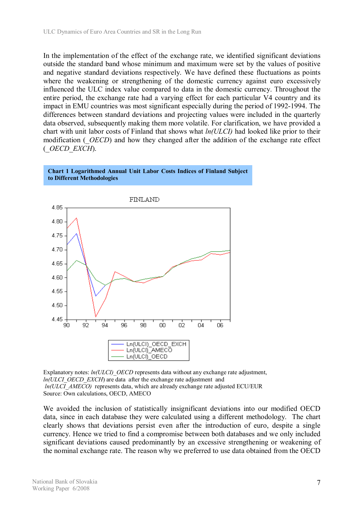In the implementation of the effect of the exchange rate, we identified significant deviations outside the standard band whose minimum and maximum were set by the values of positive and negative standard deviations respectively. We have defined these fluctuations as points where the weakening or strengthening of the domestic currency against euro excessively influenced the ULC index value compared to data in the domestic currency. Throughout the entire period, the exchange rate had a varying effect for each particular V4 country and its impact in EMU countries was most significant especially during the period of 1992-1994. The differences between standard deviations and projecting values were included in the quarterly data observed, subsequently making them more volatile. For clarification, we have provided a chart with unit labor costs of Finland that shows what *ln(ULCI)* had looked like prior to their modification (*OECD*) and how they changed after the addition of the exchange rate effect (*\_OECD\_EXCH*).

#### **Chart 1 Logarithmed Annual Unit Labor Costs Indices of Finland Subject to Different Methodologies**



Explanatory notes: *ln(ULCI) OECD* represents data without any exchange rate adjustment, *ln(ULCI OECD EXCH)* are data after the exchange rate adjustment and *ln(ULCI\_AMECO)* represents data, which are already exchange rate adjusted ECU/EUR Source: Own calculations, OECD, AMECO

We avoided the inclusion of statistically insignificant deviations into our modified OECD data, since in each database they were calculated using a different methodology. The chart clearly shows that deviations persist even after the introduction of euro, despite a single currency. Hence we tried to find a compromise between both databases and we only included significant deviations caused predominantly by an excessive strengthening or weakening of the nominal exchange rate. The reason why we preferred to use data obtained from the OECD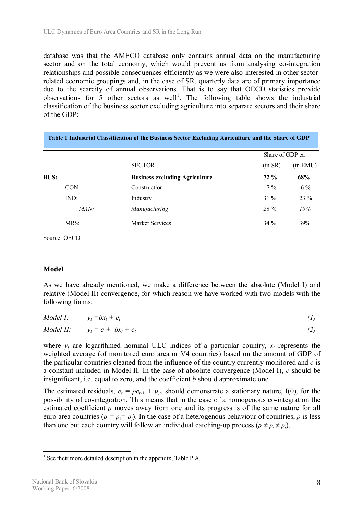database was that the AMECO database only contains annual data on the manufacturing sector and on the total economy, which would prevent us from analysing co-integration relationships and possible consequences efficiently as we were also interested in other sectorrelated economic groupings and, in the case of SR, quarterly data are of primary importance due to the scarcity of annual observations. That is to say that OECD statistics provide observations for  $5$  other sectors as well<sup>1</sup>. The following table shows the industrial classification of the business sector excluding agriculture into separate sectors and their share of the GDP:

|             | Table 1 Industrial Classification of the Business Sector Excluding Agriculture and the Share of GDP |                 |          |
|-------------|-----------------------------------------------------------------------------------------------------|-----------------|----------|
|             |                                                                                                     | Share of GDP ca |          |
|             | <b>SECTOR</b>                                                                                       | (in SR)         | (in EMU) |
| <b>BUS:</b> | <b>Business excluding Agriculture</b>                                                               | $72\%$          | 68%      |
| CON:        | Construction                                                                                        | $7\%$           | $6\%$    |
| IND:        | Industry                                                                                            | $31\%$          | 23 %     |
| MAN:        | <i>Manufacturing</i>                                                                                | $26\%$          | 19%      |
| MRS:        | Market Services                                                                                     | $34\%$          | 39%      |

Source: OECD

#### **Model**

As we have already mentioned, we make a difference between the absolute (Model I) and relative (Model II) convergence, for which reason we have worked with two models with the following forms:

|  | <i>Model I:</i> $y_t = bx_t + e_t$ |  |  |
|--|------------------------------------|--|--|
|--|------------------------------------|--|--|

$$
Model II: \t y_t = c + bx_t + e_t \t (2)
$$

where  $y_t$  are logarithmed nominal ULC indices of a particular country,  $x_t$  represents the weighted average (of monitored euro area or V4 countries) based on the amount of GDP of the particular countries cleaned from the influence of the country currently monitored and *c* is a constant included in Model II. In the case of absolute convergence (Model I), *c* should be insignificant, i.e. equal to zero, and the coefficient *b* should approximate one.

The estimated residuals,  $e_t = \rho e_{t-1} + u_t$ , should demonstrate a stationary nature, I(0), for the possibility of co-integration. This means that in the case of a homogenous co-integration the estimated coefficient  $\rho$  moves away from one and its progress is of the same nature for all euro area countries ( $\rho = \rho_i = \rho_i$ ). In the case of a heterogenous behaviour of countries,  $\rho$  is less than one but each country will follow an individual catching-up process ( $\rho \neq \rho_i \neq \rho_j$ ).

 $\overline{a}$ <sup>1</sup> See their more detailed description in the appendix, Table P.A.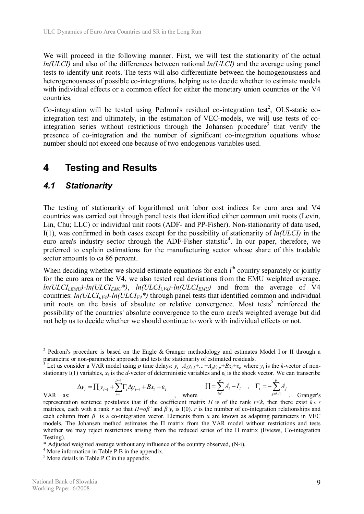We will proceed in the following manner. First, we will test the stationarity of the actual *ln(ULCI)* and also of the differences between national *ln(ULCI)* and the average using panel tests to identify unit roots. The tests will also differentiate between the homogenousness and heterogenousness of possible co-integrations, helping us to decide whether to estimate models with individual effects or a common effect for either the monetary union countries or the V4 countries.

Co-integration will be tested using Pedroni's residual co-integration test<sup>2</sup>, OLS-static cointegration test and ultimately, in the estimation of VEC-models, we will use tests of cointegration series without restrictions through the Johansen procedure<sup>3</sup> that verify the presence of co-integration and the number of significant co-integration equations whose number should not exceed one because of two endogenous variables used.

# **4 Testing and Results**

### *4.1 Stationarity*

The testing of stationarity of logarithmed unit labor cost indices for euro area and V4 countries was carried out through panel tests that identified either common unit roots (Levin, Lin, Chu; LLC) or individual unit roots (ADF- and PP-Fisher). Non-stationarity of data used, I(1), was confirmed in both cases except for the possibility of stationarity of *ln(ULCI)* in the euro area's industry sector through the ADF-Fisher statistic<sup>4</sup>. In our paper, therefore, we preferred to explain estimations for the manufacturing sector whose share of this tradable sector amounts to ca 86 percent.

When deciding whether we should estimate equations for each i<sup>th</sup> country separately or jointly for the euro area or the V4, we also tested real deviations from the EMU weighted average.  $ln(ULCI_{i,EMU})$ -ln( $ULCI_{EMU}^*$ ),  $ln(ULCI_{i,V4})$ -ln( $ULCI_{EMU}$ ) and from the average of V4 countries:  $ln(ULCI_{iV4})$ -ln( $ULCI_{V4}^*$ ) through panel tests that identified common and individual unit roots on the basis of absolute or relative convergence. Most tests<sup>5</sup> reinforced the possibility of the countries' absolute convergence to the euro area's weighted average but did not help us to decide whether we should continue to work with individual effects or not.

 $_{t-i}$   $\tau$   $\boldsymbol{\nu}$  $_{t}$   $\tau$   $\boldsymbol{\epsilon}$   $_{t}$ *p i*  $\Delta y_t = \prod y_{t-1} + \sum \Gamma_i \Delta y_{t-i} + Bx_t + \varepsilon$ -  $_{-1}$  +  $\sum_{i=1}^{p-1}$ 1  $I_1 + \sum_{i=1}^{k} \Gamma_i \Delta y_{t-i} + Bx_t + \varepsilon_t$  <br>where  $\Pi = \sum_{i=1}^{k} A_i - I_i$ ,  $\Gamma_i = -\sum_{j=i+1}^{k} \Gamma_j \Delta y_{t-j} + Bx_t + \varepsilon_t$  $i^{j}$ ,  $i^{j}$   $\Delta^{A}$ *p i*  $A_i - I_i$ ,  $\Gamma_i = -\sum A_i$  $j = i + 1$ ,

*j i*

<sup>&</sup>lt;sup>2</sup> Pedroni's procedure is based on the Engle & Granger methodology and estimates Model I or II through a parametric or non-parametric approach and tests the stationarity of estimated residuals.

<sup>&</sup>lt;sup>3</sup> Let us consider a VAR model using p time delays:  $y_t = A_1y_{t-1} + ... + A_py_{t-p} + Bx_t + \varepsilon_t$ , where  $y_t$  is the k-vector of nonstationary I(1) variables,  $x_t$  is the *d*-vector of deterministic variables and  $\varepsilon_t$  is the shock vector. We can transcribe *p*

VAR as: . Granger's representation sentence postulates that if the coefficient matrix  $\Pi$  is of the rank  $r \leq k$ , then there exist  $k \times r$ matrices, each with a rank *r* so that  $\Pi = \alpha \beta'$  and  $\beta' y_t$  is I(0). *r* is the number of co-integration relationships and each column from  $\beta$  is a co-integration vector. Elements from  $\alpha$  are known as adapting parameters in VEC models. The Johansen method estimates the Π matrix from the VAR model without restrictions and tests whether we may reject restrictions arising from the reduced series of the Π matrix (Eviews, Co-integration Testing).

<sup>\*</sup> Adjusted weighted average without any influence of the country observed, (N-i).

<sup>4</sup> More information in Table P.B in the appendix.

<sup>5</sup> More details in Table P.C in the appendix.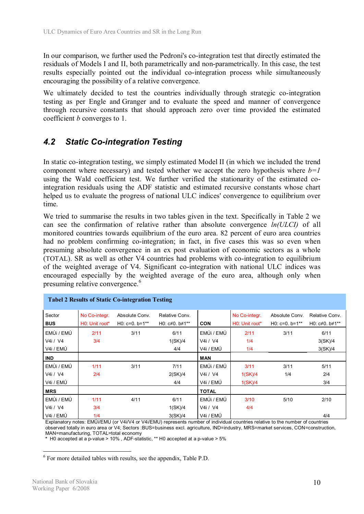In our comparison, we further used the Pedroni's co-integration test that directly estimated the residuals of Models I and II, both parametrically and non-parametrically. In this case, the test results especially pointed out the individual co-integration process while simultaneously encouraging the possibility of a relative convergence.

We ultimately decided to test the countries individually through strategic co-integration testing as per Engle and Granger and to evaluate the speed and manner of convergence through recursive constants that should approach zero over time provided the estimated coefficient *b* converges to 1.

# *4.2 Static Co-integration Testing*

In static co-integration testing, we simply estimated Model II (in which we included the trend component where necessary) and tested whether we accept the zero hypothesis where  $b=1$ using the Wald coefficient test. We further verified the stationarity of the estimated cointegration residuals using the ADF statistic and estimated recursive constants whose chart helped us to evaluate the progress of national ULC indices' convergence to equilibrium over time.

We tried to summarise the results in two tables given in the text. Specifically in Table 2 we can see the confirmation of relative rather than absolute convergence *ln(ULCI)* of all monitored countries towards equilibrium of the euro area. 82 percent of euro area countries had no problem confirming co-integration; in fact, in five cases this was so even when presuming absolute convergence in an ex post evaluation of economic sectors as a whole (TOTAL). SR as well as other V4 countries had problems with co-integration to equilibrium of the weighted average of V4. Significant co-integration with national ULC indices was encouraged especially by the weighted average of the euro area, although only when presuming relative convergence.<sup>6</sup>

| Sector     | No Co-integr.  | Absolute Conv.   | Relative Conv.              |              | No Co-integr.  | Absolute Conv.   | Relative Conv. |
|------------|----------------|------------------|-----------------------------|--------------|----------------|------------------|----------------|
| <b>BUS</b> | H0: Unit root* | $H0: c=0. b=1**$ | HO: $c \ne 0$ . $b \ne 1**$ | <b>CON</b>   | H0: Unit root* | $H0: c=0. b=1**$ | H0: c≠0. b≠1** |
| EMÚI / EMÚ | 2/11           | 3/11             | 6/11                        | EMÚI / EMÚ   | 2/11           | 3/11             | 6/11           |
| V4i / V4   | 3/4            |                  | 1(SK)/4                     | V4i / V4     | 1/4            |                  | 3(SK)/4        |
| V4i / EMÚ  |                |                  | 4/4                         | V4i / EMÚ    | 1/4            |                  | 3(SK)/4        |
| <b>IND</b> |                |                  |                             | <b>MAN</b>   |                |                  |                |
| EMÚI / EMÚ | 1/11           | 3/11             | 7/11                        | EMÚI / EMÚ   | 3/11           | 3/11             | 5/11           |
| V4i / V4   | 2/4            |                  | 2(SK)/4                     | V4i / V4     | 1(SK)/4        | 1/4              | 2/4            |
| V4i / EMÚ  |                |                  | 4/4                         | V4i / EMÚ    | 1(SK)/4        |                  | 3/4            |
| <b>MRS</b> |                |                  |                             | <b>TOTAL</b> |                |                  |                |
| EMÚI / EMÚ | 1/11           | 4/11             | 6/11                        | EMÚI / EMÚ   | 3/10           | 5/10             | 2/10           |
| V4i / V4   | 3/4            |                  | 1(SK)/4                     | V4i / V4     | 4/4            |                  |                |
| V4i / EMÚ  | 1/4            |                  | 3(SK)/4                     | V4i / EMÚ    |                |                  | 4/4            |

Explanatory notes: EMÚi/EMU (or V4i/V4 or V4i/EMU) represents number of individual countries relative to the number of countries observed totally in euro area or V4; Sectors :BUS=business excl. agriculture, IND=industry, MRS=market services, CON=construction, MAN=manufacturing, TOTAL=total economy

**\*** H0 accepted at a p-value > 10% , ADF-statistic, \*\* H0 accepted at a p-value > 5%

<sup>6</sup> For more detailed tables with results, see the appendix, Table P.D.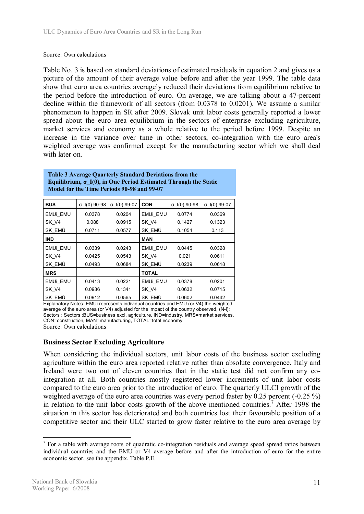#### Source: Own calculations

Table No. 3 is based on standard deviations of estimated residuals in equation 2 and gives us a picture of the amount of their average value before and after the year 1999. The table data show that euro area countries averagely reduced their deviations from equilibrium relative to the period before the introduction of euro. On average, we are talking about a 47-percent decline within the framework of all sectors (from 0.0378 to 0.0201). We assume a similar phenomenon to happen in SR after 2009. Slovak unit labor costs generally reported a lower spread about the euro area equilibrium in the sectors of enterprise excluding agriculture, market services and economy as a whole relative to the period before 1999. Despite an increase in the variance over time in other sectors, co-integration with the euro area's weighted average was confirmed except for the manufacturing sector which we shall deal with later on.

| Table 3 Average Quarterly Standard Deviations from the          |  |
|-----------------------------------------------------------------|--|
| Equilibrium, σ I(0), in One Period Estimated Through the Static |  |
| Model for the Time Periods 90-98 and 99-07                      |  |

| <b>BUS</b> | σ I(0) 90-98 | σ I(0) 99-07 | <b>CON</b>   | σ I(0) 90-98 | σ I(0) 99-07 |
|------------|--------------|--------------|--------------|--------------|--------------|
| EMUi EMU   | 0.0378       | 0.0204       | EMUi EMU     | 0.0774       | 0.0369       |
| SK V4      | 0.088        | 0.0915       | SK V4        | 0.1427       | 0.1323       |
| SK EMÚ     | 0.0711       | 0.0577       | SK EMÚ       | 0.1054       | 0.113        |
| <b>IND</b> |              |              | <b>MAN</b>   |              |              |
| EMUi EMU   | 0.0339       | 0.0243       | EMUi EMU     | 0.0445       | 0.0328       |
| SK V4      | 0.0425       | 0.0543       | SK V4        | 0.021        | 0.0611       |
| SK EMÚ     | 0.0493       | 0.0684       | SK EMÚ       | 0.0239       | 0.0618       |
| <b>MRS</b> |              |              | <b>TOTAL</b> |              |              |
| EMUi EMU   | 0.0413       | 0.0221       | EMUi EMU     | 0.0378       | 0.0201       |
| SK V4      | 0.0986       | 0.1341       | SK V4        | 0.0632       | 0.0715       |
| SK EMÚ     | 0.0912       | 0.0565       | SK EMÚ       | 0.0602       | 0.0442       |

Explanatory Notes: EMUi represents individual countries and EMU (or V4) the weighted average of the euro area (or V4) adjusted for the impact of the country observed, (N-i); Sectors : Sectors :BUS=business excl. agriculture, IND=industry, MRS=market services, CON=construction, MAN=manufacturing, TOTAL=total economy Source: Own calculations

#### **Business Sector Excluding Agriculture**

When considering the individual sectors, unit labor costs of the business sector excluding agriculture within the euro area reported relative rather than absolute convergence. Italy and Ireland were two out of eleven countries that in the static test did not confirm any cointegration at all. Both countries mostly registered lower increments of unit labor costs compared to the euro area prior to the introduction of euro. The quarterly ULCI growth of the weighted average of the euro area countries was every period faster by 0.25 percent (-0.25 %) in relation to the unit labor costs growth of the above mentioned countries.<sup>7</sup> After 1998 the situation in this sector has deteriorated and both countries lost their favourable position of a competitive sector and their ULC started to grow faster relative to the euro area average by

 $\overline{a}$  $<sup>7</sup>$  For a table with average roots of quadratic co-integration residuals and average speed spread ratios between</sup> individual countries and the EMU or V4 average before and after the introduction of euro for the entire economic sector, see the appendix, Table P.E.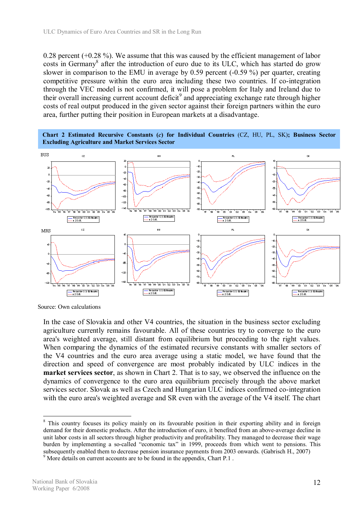0.28 percent (+0.28 %). We assume that this was caused by the efficient management of labor costs in Germany<sup>8</sup> after the introduction of euro due to its ULC, which has started do grow slower in comparison to the EMU in average by 0.59 percent  $(-0.59\%)$  per quarter, creating competitive pressure within the euro area including these two countries. If co-integration through the VEC model is not confirmed, it will pose a problem for Italy and Ireland due to their overall increasing current account deficit<sup>9</sup> and appreciating exchange rate through higher costs of real output produced in the given sector against their foreign partners within the euro area, further putting their position in European markets at a disadvantage.





Source: Own calculations

In the case of Slovakia and other V4 countries, the situation in the business sector excluding agriculture currently remains favourable. All of these countries try to converge to the euro area's weighted average, still distant from equilibrium but proceeding to the right values. When comparing the dynamics of the estimated recursive constants with smaller sectors of the V4 countries and the euro area average using a static model, we have found that the direction and speed of convergence are most probably indicated by ULC indices in the **market services sector**, as shown in Chart 2. That is to say, we observed the influence on the dynamics of convergence to the euro area equilibrium precisely through the above market services sector. Slovak as well as Czech and Hungarian ULC indices confirmed co-integration with the euro area's weighted average and SR even with the average of the V4 itself. The chart

<sup>&</sup>lt;sup>8</sup> This country focuses its policy mainly on its favourable position in their exporting ability and in foreign demand for their domestic products. After the introduction of euro, it benefited from an above-average decline in unit labor costs in all sectors through higher productivity and profitability. They managed to decrease their wage burden by implementing a so-called "economic tax" in 1999, proceeds from which went to pensions. This subsequently enabled them to decrease pension insurance payments from 2003 onwards. (Gabrisch H., 2007) <sup>9</sup> More details on current accounts are to be found in the appendix, Chart P.1.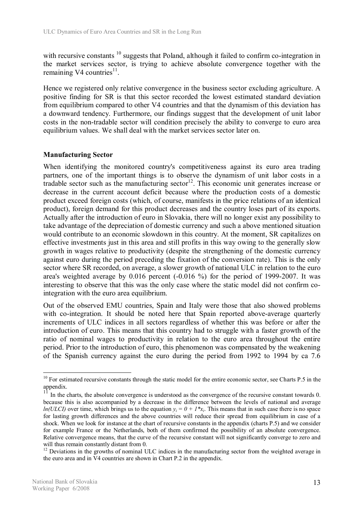with recursive constants <sup>10</sup> suggests that Poland, although it failed to confirm co-integration in the market services sector, is trying to achieve absolute convergence together with the remaining V4 countries $11$ .

Hence we registered only relative convergence in the business sector excluding agriculture. A positive finding for SR is that this sector recorded the lowest estimated standard deviation from equilibrium compared to other V4 countries and that the dynamism of this deviation has a downward tendency. Furthermore, our findings suggest that the development of unit labor costs in the non-tradable sector will condition precisely the ability to converge to euro area equilibrium values. We shall deal with the market services sector later on.

#### **Manufacturing Sector**

When identifying the monitored country's competitiveness against its euro area trading partners, one of the important things is to observe the dynamism of unit labor costs in a tradable sector such as the manufacturing sector<sup>12</sup>. This economic unit generates increase or decrease in the current account deficit because where the production costs of a domestic product exceed foreign costs (which, of course, manifests in the price relations of an identical product), foreign demand for this product decreases and the country loses part of its exports. Actually after the introduction of euro in Slovakia, there will no longer exist any possibility to take advantage of the depreciation of domestic currency and such a above mentioned situation would contribute to an economic slowdown in this country. At the moment, SR capitalizes on effective investments just in this area and still profits in this way owing to the generally slow growth in wages relative to productivity (despite the strengthening of the domestic currency against euro during the period preceding the fixation of the conversion rate). This is the only sector where SR recorded, on average, a slower growth of national ULC in relation to the euro area's weighted average by 0.016 percent (-0.016 %) for the period of 1999-2007. It was interesting to observe that this was the only case where the static model did not confirm cointegration with the euro area equilibrium.

Out of the observed EMU countries, Spain and Italy were those that also showed problems with co-integration. It should be noted here that Spain reported above-average quarterly increments of ULC indices in all sectors regardless of whether this was before or after the introduction of euro. This means that this country had to struggle with a faster growth of the ratio of nominal wages to productivity in relation to the euro area throughout the entire period. Prior to the introduction of euro, this phenomenon was compensated by the weakening of the Spanish currency against the euro during the period from 1992 to 1994 by ca 7.6

 $10$  For estimated recursive constants through the static model for the entire economic sector, see Charts P.5 in the appendix.

<sup>11</sup> In the charts, the absolute convergence is understood as the convergence of the recursive constant towards 0. because this is also accompanied by a decrease in the difference between the levels of national and average *ln(ULCI)* over time, which brings us to the equation  $y_i = 0 + 1 \cdot x_i$ . This means that in such case there is no space for lasting growth differences and the above countries will reduce their spread from equilibrium in case of a shock. When we look for instance at the chart of recursive constants in the appendix (charts P.5) and we consider for example France or the Netherlands, both of them confirmed the possibility of an absolute convergence. Relative convergence means, that the curve of the recursive constant will not significantly converge to zero and will thus remain constantly distant from 0.

<sup>&</sup>lt;sup>12</sup> Deviations in the growths of nominal ULC indices in the manufacturing sector from the weighted average in the euro area and in V4 countries are shown in Chart P.2 in the appendix.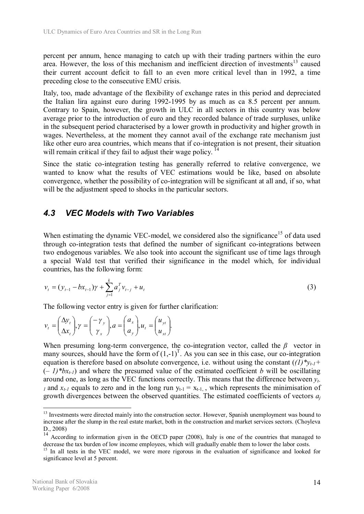percent per annum, hence managing to catch up with their trading partners within the euro area. However, the loss of this mechanism and inefficient direction of investments $^{13}$  caused their current account deficit to fall to an even more critical level than in 1992, a time preceding close to the consecutive EMU crisis.

Italy, too, made advantage of the flexibility of exchange rates in this period and depreciated the Italian lira against euro during 1992-1995 by as much as ca 8.5 percent per annum. Contrary to Spain, however, the growth in ULC in all sectors in this country was below average prior to the introduction of euro and they recorded balance of trade surpluses, unlike in the subsequent period characterised by a lower growth in productivity and higher growth in wages. Nevertheless, at the moment they cannot avail of the exchange rate mechanism just like other euro area countries, which means that if co-integration is not present, their situation will remain critical if they fail to adjust their wage policy.<sup>14</sup>

Since the static co-integration testing has generally referred to relative convergence, we wanted to know what the results of VEC estimations would be like, based on absolute convergence, whether the possibility of co-integration will be significant at all and, if so, what will be the adjustment speed to shocks in the particular sectors.

# *4.3 VEC Models with Two Variables*

When estimating the dynamic VEC-model, we considered also the significance<sup>15</sup> of data used through co-integration tests that defined the number of significant co-integrations between two endogenous variables. We also took into account the significant use of time lags through a special Wald test that verified their significance in the model which, for individual countries, has the following form:

$$
v_{t} = (y_{t-1} - bx_{t-1})\gamma + \sum_{j=1}^{k} a_j^T v_{t-j} + u_t
$$
\n(3)

The following vector entry is given for further clarification:

$$
v_t = \begin{pmatrix} \Delta y_t \\ \Delta x_t \end{pmatrix}, \gamma = \begin{pmatrix} -\gamma_y \\ \gamma_x \end{pmatrix}, a = \begin{pmatrix} a_x \\ a_y \end{pmatrix}, u_t = \begin{pmatrix} u_{yt} \\ u_{xt} \end{pmatrix}.
$$

When presuming long-term convergence, the co-integration vector, called the  $\beta$  vector in many sources, should have the form of  $(1,-1)^T$ . As you can see in this case, our co-integration equation is therefore based on absolute convergence, i.e. without using the constant  $((1)^*y_{t-1} +$  $(-1)^*bx_{t-1}$  and where the presumed value of the estimated coefficient *b* will be oscillating around one, as long as the VEC functions correctly. This means that the difference between *yt-I* and  $x_{t-1}$  equals to zero and in the long run  $y_{t-1} = x_{t-1}$ , which represents the minimisation of growth divergences between the observed quantities. The estimated coefficients of vectors *a<sup>j</sup>*

<sup>&</sup>lt;sup>13</sup> Investments were directed mainly into the construction sector. However, Spanish unemployment was bound to increase after the slump in the real estate market, both in the construction and market services sectors. (Choyleva D., 2008)

<sup>&</sup>lt;sup>14</sup> According to information given in the OECD paper (2008), Italy is one of the countries that managed to decrease the tax burden of low income employees, which will gradually enable them to lower the labor costs.

<sup>&</sup>lt;sup>15</sup> In all tests in the VEC model, we were more rigorous in the evaluation of significance and looked for significance level at 5 percent.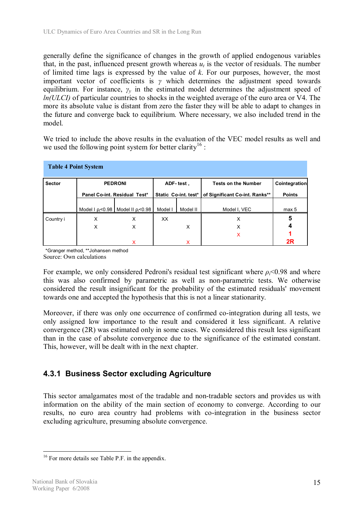generally define the significance of changes in the growth of applied endogenous variables that, in the past, influenced present growth whereas  $u_t$  is the vector of residuals. The number of limited time lags is expressed by the value of *k*. For our purposes, however, the most important vector of coefficients is  $\gamma$  which determines the adjustment speed towards equilibrium. For instance,  $\gamma$ <sup>*y*</sup> in the estimated model determines the adjustment speed of *ln(ULCI)* of particular countries to shocks in the weighted average of the euro area or V4. The more its absolute value is distant from zero the faster they will be able to adapt to changes in the future and converge back to equilibrium. Where necessary, we also included trend in the model.

We tried to include the above results in the evaluation of the VEC model results as well and we used the following point system for better clarity<sup>16</sup> :

| <b>Table 4 Point System</b> |                              |                                    |                      |                                |               |                  |  |  |  |  |
|-----------------------------|------------------------------|------------------------------------|----------------------|--------------------------------|---------------|------------------|--|--|--|--|
| <b>Sector</b>               | <b>PEDRONI</b>               |                                    | ADF-test,            | <b>Tests on the Number</b>     | Cointegration |                  |  |  |  |  |
|                             | Panel Co-int. Residual Test* |                                    | Static Co-int. test* | of Significant Co-int. Ranks** | <b>Points</b> |                  |  |  |  |  |
|                             |                              |                                    |                      |                                |               |                  |  |  |  |  |
|                             | Model $1 \text{ p}_i < 0.98$ | Model II $\rho$ <sub>i</sub> <0.98 | Model I              | Model II                       | Model I. VEC  | max <sub>5</sub> |  |  |  |  |
| Country i                   | X                            | x                                  | XX                   |                                | х             | 5                |  |  |  |  |
|                             | X                            | x                                  |                      | X                              | X             |                  |  |  |  |  |
|                             |                              |                                    |                      |                                | x             |                  |  |  |  |  |
|                             |                              |                                    |                      | x                              |               | 2R               |  |  |  |  |

\*Granger method, \*\*Johansen method Source: Own calculations

For example, we only considered Pedroni's residual test significant where *ρi*<0.98 and where this was also confirmed by parametric as well as non-parametric tests. We otherwise considered the result insignificant for the probability of the estimated residuals' movement towards one and accepted the hypothesis that this is not a linear stationarity.

Moreover, if there was only one occurrence of confirmed co-integration during all tests, we only assigned low importance to the result and considered it less significant. A relative convergence (2R) was estimated only in some cases. We considered this result less significant than in the case of absolute convergence due to the significance of the estimated constant. This, however, will be dealt with in the next chapter.

# **4.3.1 Business Sector excluding Agriculture**

This sector amalgamates most of the tradable and non-tradable sectors and provides us with information on the ability of the main section of economy to converge. According to our results, no euro area country had problems with co-integration in the business sector excluding agriculture, presuming absolute convergence.

 $\overline{a}$ <sup>16</sup> For more details see Table P.F. in the appendix.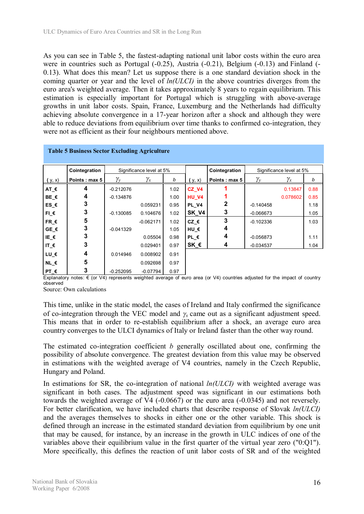As you can see in Table 5, the fastest-adapting national unit labor costs within the euro area were in countries such as Portugal (-0.25), Austria (-0.21), Belgium (-0.13) and Finland (- 0.13). What does this mean? Let us suppose there is a one standard deviation shock in the coming quarter or year and the level of *ln(ULCI)* in the above countries diverges from the euro area's weighted average. Then it takes approximately 8 years to regain equilibrium. This estimation is especially important for Portugal which is struggling with above-average growths in unit labor costs. Spain, France, Luxemburg and the Netherlands had difficulty achieving absolute convergence in a 17-year horizon after a shock and although they were able to reduce deviations from equilibrium over time thanks to confirmed co-integration, they were not as efficient as their four neighbours mentioned above.

|                    | Table 5 Business Sector Excluding Agriculture |                |                          |      |               |               |             |                          |      |  |  |
|--------------------|-----------------------------------------------|----------------|--------------------------|------|---------------|---------------|-------------|--------------------------|------|--|--|
|                    |                                               |                |                          |      |               |               |             |                          |      |  |  |
|                    | Cointegration                                 |                | Significance level at 5% |      |               | Cointegration |             | Significance level at 5% |      |  |  |
| (y, x)             | Points: max 5                                 | $\gamma_{\nu}$ | $\gamma_x$               | b    | (y, x)        | Points: max 5 | Yν          | $\gamma_x$               | b    |  |  |
| AT €               |                                               | $-0.212076$    |                          | 1.02 | CZ V4         |               |             | 0.13847                  | 0.88 |  |  |
| BE €               | 4                                             | $-0.134876$    |                          | 1.00 | <b>HU V4</b>  |               |             | 0.078602                 | 0.85 |  |  |
| ES_€               | 3                                             |                | 0.059231                 | 0.95 | PL V4         |               | $-0.140458$ |                          | 1.18 |  |  |
| $FI$ $\varepsilon$ | 3                                             | $-0.130085$    | 0.104676                 | 1.02 | SK V4         | 3             | $-0.066673$ |                          | 1.05 |  |  |
| $FR$ $\epsilon$    | 5                                             |                | $-0.062171$              | 1.02 | $CZ \in$      | 3             | $-0.102336$ |                          | 1.03 |  |  |
| $GE \in$           | 3                                             | $-0.041329$    |                          | 1.05 | HU $\epsilon$ | 4             |             |                          |      |  |  |
| IE_ $\epsilon$     | 3                                             |                | 0.05504                  | 0.98 | $PL \in$      | 4             | $-0.056873$ |                          | 1.11 |  |  |
| IT_€               | 3                                             |                | 0.029401                 | 0.97 | SK_€          | 4             | $-0.034537$ |                          | 1.04 |  |  |
| LU_€               | 4                                             | 0.014946       | 0.008902                 | 0.91 |               |               |             |                          |      |  |  |
| NL $\epsilon$      | 5                                             |                | 0.092698                 | 0.97 |               |               |             |                          |      |  |  |
| PT $\epsilon$      | 3                                             | $-0.252095$    | $-0.07794$               | 0.97 |               |               |             |                          |      |  |  |

#### **Table 5 Business Sector Excluding Agriculture**

Explanatory notes:  $\epsilon$  (or V4) represents weighted average of euro area (or V4) countries adjusted for the impact of country observed

Source: Own calculations

This time, unlike in the static model, the cases of Ireland and Italy confirmed the significance of co-integration through the VEC model and  $\gamma$ *x* came out as a significant adjustment speed. This means that in order to re-establish equilibrium after a shock, an average euro area country converges to the ULCI dynamics of Italy or Ireland faster than the other way round.

The estimated co-integration coefficient *b* generally oscillated about one, confirming the possibility of absolute convergence. The greatest deviation from this value may be observed in estimations with the weighted average of V4 countries, namely in the Czech Republic, Hungary and Poland.

In estimations for SR, the co-integration of national *ln(ULCI)* with weighted average was significant in both cases. The adjustment speed was significant in our estimations both towards the weighted average of V4 (-0.0667) or the euro area (-0.0345) and not reversely. For better clarification, we have included charts that describe response of Slovak *ln(ULCI)* and the averages themselves to shocks in either one or the other variable. This shock is defined through an increase in the estimated standard deviation from equilibrium by one unit that may be caused, for instance, by an increase in the growth in ULC indices of one of the variables above their equilibrium value in the first quarter of the virtual year zero ("0:Q1"). More specifically, this defines the reaction of unit labor costs of SR and of the weighted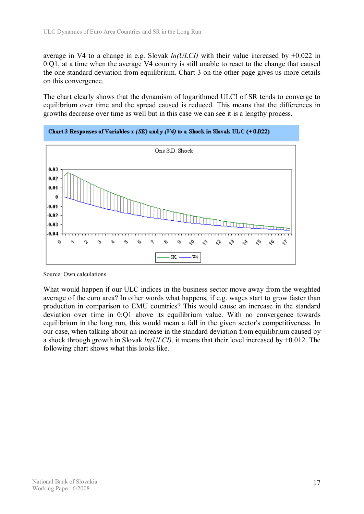average in V4 to a change in e.g. Slovak *ln(ULCI)* with their value increased by +0.022 in 0:Q1, at a time when the average V4 country is still unable to react to the change that caused the one standard deviation from equilibrium. Chart 3 on the other page gives us more details on this convergence.

The chart clearly shows that the dynamism of logarithmed ULCI of SR tends to converge to equilibrium over time and the spread caused is reduced. This means that the differences in growths decrease over time as well but in this case we can see it is a lengthy process.



Chart 3 Responses of Variables x (SK) and y (V4) to a Shock in Slovak ULC (+0.022)

What would happen if our ULC indices in the business sector move away from the weighted average of the euro area? In other words what happens, if e.g. wages start to grow faster than production in comparison to EMU countries? This would cause an increase in the standard deviation over time in 0:Q1 above its equilibrium value. With no convergence towards equilibrium in the long run, this would mean a fall in the given sector's competitiveness. In our case, when talking about an increase in the standard deviation from equilibrium caused by a shock through growth in Slovak *ln(ULCI)*, it means that their level increased by +0.012. The following chart shows what this looks like.

Source: Own calculations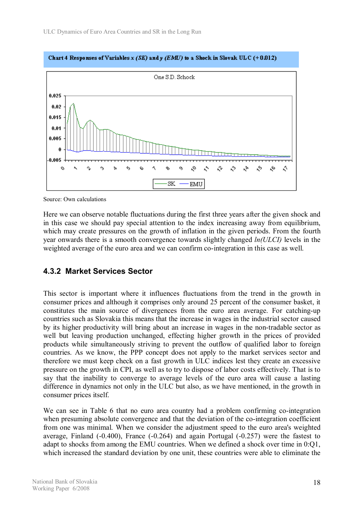

Source: Own calculations

Here we can observe notable fluctuations during the first three years after the given shock and in this case we should pay special attention to the index increasing away from equilibrium, which may create pressures on the growth of inflation in the given periods. From the fourth year onwards there is a smooth convergence towards slightly changed *ln(ULCI)* levels in the weighted average of the euro area and we can confirm co-integration in this case as well.

### **4.3.2 Market Services Sector**

This sector is important where it influences fluctuations from the trend in the growth in consumer prices and although it comprises only around 25 percent of the consumer basket, it constitutes the main source of divergences from the euro area average. For catching-up countries such as Slovakia this means that the increase in wages in the industrial sector caused by its higher productivity will bring about an increase in wages in the non-tradable sector as well but leaving production unchanged, effecting higher growth in the prices of provided products while simultaneously striving to prevent the outflow of qualified labor to foreign countries. As we know, the PPP concept does not apply to the market services sector and therefore we must keep check on a fast growth in ULC indices lest they create an excessive pressure on the growth in CPI, as well as to try to dispose of labor costs effectively. That is to say that the inability to converge to average levels of the euro area will cause a lasting difference in dynamics not only in the ULC but also, as we have mentioned, in the growth in consumer prices itself.

We can see in Table 6 that no euro area country had a problem confirming co-integration when presuming absolute convergence and that the deviation of the co-integration coefficient from one was minimal. When we consider the adjustment speed to the euro area's weighted average, Finland (-0.400), France (-0.264) and again Portugal (-0.257) were the fastest to adapt to shocks from among the EMU countries. When we defined a shock over time in 0:Q1, which increased the standard deviation by one unit, these countries were able to eliminate the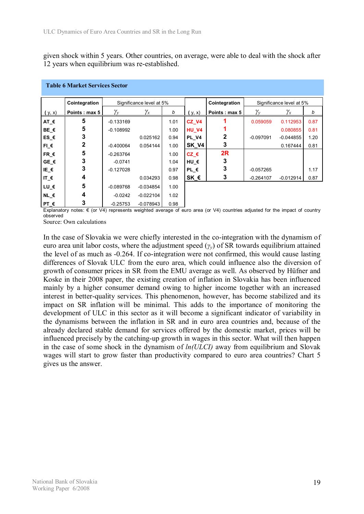given shock within 5 years. Other countries, on average, were able to deal with the shock after 12 years when equilibrium was re-established.

|                 | Cointegration |                | Significance level at 5% |      |               | Cointegration                                                                                                                                            |                                            | Significance level at 5% |      |
|-----------------|---------------|----------------|--------------------------|------|---------------|----------------------------------------------------------------------------------------------------------------------------------------------------------|--------------------------------------------|--------------------------|------|
| (y, x)          | Points: max 5 | $\gamma_{\nu}$ | $\gamma_x$               | b    | (y, x)        | Points: max 5                                                                                                                                            | $\gamma_{\scriptscriptstyle{\mathcal{V}}}$ | $\gamma_x$               | b    |
| AT_€            | 5             | $-0.133169$    |                          | 1.01 | CZ V4         |                                                                                                                                                          | 0.059059                                   | 0.112953                 | 0.87 |
| BE_€            | 5             | $-0.108992$    |                          | 1.00 | <b>HU V4</b>  |                                                                                                                                                          |                                            | 0.080855                 | 0.81 |
| ES_€            |               |                | 0.025162                 | 0.94 | PL V4         |                                                                                                                                                          | $-0.097091$                                | $-0.044855$              | 1.20 |
| $FI$ $\epsilon$ | 2             | $-0.400064$    | 0.054144                 | 1.00 | SK V4         | 3                                                                                                                                                        |                                            | 0.167444                 | 0.81 |
| FR_€            | 5             | $-0.263764$    |                          | 1.00 | $CZ \in$      | 2R                                                                                                                                                       |                                            |                          |      |
| $GE \in$        | 3             | $-0.0741$      |                          | 1.04 | HU €          | 3                                                                                                                                                        |                                            |                          |      |
| IE_ $\epsilon$  | 3             | $-0.127028$    |                          | 0.97 | PL €          | 3                                                                                                                                                        | $-0.057265$                                |                          | 1.17 |
| IT_ $\epsilon$  | 4             |                | 0.034293                 | 0.98 | SK $\epsilon$ | 3                                                                                                                                                        | $-0.264107$                                | $-0.012914$              | 0.87 |
| LU_€            | 5             | $-0.089768$    | $-0.034854$              | 1.00 |               |                                                                                                                                                          |                                            |                          |      |
| $NL$ $\epsilon$ | 4             | $-0.0242$      | $-0.022104$              | 1.02 |               |                                                                                                                                                          |                                            |                          |      |
| PT €            |               | $-0.25753$     | $-0.078943$              | 0.98 |               |                                                                                                                                                          |                                            |                          |      |
|                 |               |                |                          |      |               | Evalantary notes: $\epsilon$ (or $\frac{1}{4}$ represents weighted average of euro area (or $\frac{1}{4}$ ) countries adjusted for the impact of countri |                                            |                          |      |

#### **Table 6 Market Services Sector**

gnted average ot euro area (or V4) countries adjusted for the impact of country observed

Source: Own calculations

In the case of Slovakia we were chiefly interested in the co-integration with the dynamism of euro area unit labor costs, where the adjustment speed (*γy*) of SR towards equilibrium attained the level of as much as -0.264. If co-integration were not confirmed, this would cause lasting differences of Slovak ULC from the euro area, which could influence also the diversion of growth of consumer prices in SR from the EMU average as well. As observed by Hüfner and Koske in their 2008 paper, the existing creation of inflation in Slovakia has been influenced mainly by a higher consumer demand owing to higher income together with an increased interest in better-quality services. This phenomenon, however, has become stabilized and its impact on SR inflation will be minimal. This adds to the importance of monitoring the development of ULC in this sector as it will become a significant indicator of variability in the dynamisms between the inflation in SR and in euro area countries and, because of the already declared stable demand for services offered by the domestic market, prices will be influenced precisely by the catching-up growth in wages in this sector. What will then happen in the case of some shock in the dynamism of *ln(ULCI)* away from equilibrium and Slovak wages will start to grow faster than productivity compared to euro area countries? Chart 5 gives us the answer.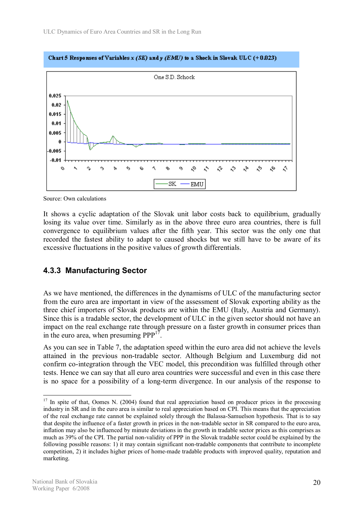

Chart 5 Responses of Variables x (SK) and y (EMU) to a Shock in Slovak UL C (+0.023)

Source: Own calculations

It shows a cyclic adaptation of the Slovak unit labor costs back to equilibrium, gradually losing its value over time. Similarly as in the above three euro area countries, there is full convergence to equilibrium values after the fifth year. This sector was the only one that recorded the fastest ability to adapt to caused shocks but we still have to be aware of its excessive fluctuations in the positive values of growth differentials.

### **4.3.3 Manufacturing Sector**

As we have mentioned, the differences in the dynamisms of ULC of the manufacturing sector from the euro area are important in view of the assessment of Slovak exporting ability as the three chief importers of Slovak products are within the EMU (Italy, Austria and Germany). Since this is a tradable sector, the development of ULC in the given sector should not have an impact on the real exchange rate through pressure on a faster growth in consumer prices than in the euro area, when presuming  $PPP^{17}$ .

As you can see in Table 7, the adaptation speed within the euro area did not achieve the levels attained in the previous non-tradable sector. Although Belgium and Luxemburg did not confirm co-integration through the VEC model, this precondition was fulfilled through other tests. Hence we can say that all euro area countries were successful and even in this case there is no space for a possibility of a long-term divergence. In our analysis of the response to

 $17$  In spite of that, Oomes N. (2004) found that real appreciation based on producer prices in the processing industry in SR and in the euro area is similar to real appreciation based on CPI. This means that the appreciation of the real exchange rate cannot be explained solely through the Balassa-Samuelson hypothesis. That is to say that despite the influence of a faster growth in prices in the non-tradable sector in SR compared to the euro area, inflation may also be influenced by minute deviations in the growth in tradable sector prices as this comprises as much as 39% of the CPI. The partial non-validity of PPP in the Slovak tradable sector could be explained by the following possible reasons: 1) it may contain significant non-tradable components that contribute to incomplete competition, 2) it includes higher prices of home-made tradable products with improved quality, reputation and marketing.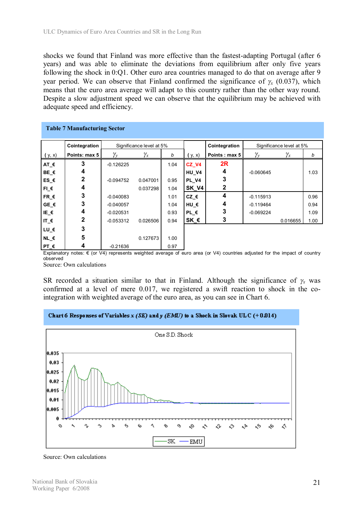shocks we found that Finland was more effective than the fastest-adapting Portugal (after 6 years) and was able to eliminate the deviations from equilibrium after only five years following the shock in 0:Q1. Other euro area countries managed to do that on average after 9 year period. We can observe that Finland confirmed the significance of  $\gamma$ <sup>*x*</sup> (0.037), which means that the euro area average will adapt to this country rather than the other way round. Despite a slow adjustment speed we can observe that the equilibrium may be achieved with adequate speed and efficiency.

| <b>Table 7 Manufacturing Sector</b> |               |                         |                          |      |              |               |              |                          |      |  |
|-------------------------------------|---------------|-------------------------|--------------------------|------|--------------|---------------|--------------|--------------------------|------|--|
|                                     | Cointegration |                         | Significance level at 5% |      |              | Cointegration |              | Significance level at 5% |      |  |
| (y, x)                              | Points: max 5 | $\gamma_{\mathrm{\nu}}$ | $\gamma_x$               | b    | (y, x)       | Points: max 5 | $\gamma_{y}$ | $\gamma_x$               | b    |  |
| AT_€                                | 3             | $-0.126225$             |                          | 1.04 | CZ V4        | 2R            |              |                          |      |  |
| BE_€                                | 4             |                         |                          |      | <b>HU V4</b> | 4             | $-0.060645$  |                          | 1.03 |  |
| ES_€                                | 2             | $-0.094752$             | 0.047001                 | 0.95 | PL V4        | 3             |              |                          |      |  |
| $FI$ $E$                            | 4             |                         | 0.037298                 | 1.04 | SK_V4        | $\mathbf{2}$  |              |                          |      |  |
| $FR$ $\epsilon$                     | 3             | $-0.040083$             |                          | 1.01 | $CZ$ $\in$   | 4             | $-0.115913$  |                          | 0.96 |  |
| $GE \in$                            | 3             | $-0.040057$             |                          | 1.04 | HU €         | 4             | $-0.119464$  |                          | 0.94 |  |
| IE_€                                | 4             | $-0.020531$             |                          | 0.93 | $PL \in$     | 3             | $-0.069224$  |                          | 1.09 |  |
| IT_ $\epsilon$                      | 2             | $-0.053312$             | 0.026506                 | 0.94 | SK_€         | 3             |              | 0.016655                 | 1.00 |  |
| LU_€                                | 3             |                         |                          |      |              |               |              |                          |      |  |
| $NL \in$                            | 5             |                         | 0.127673                 | 1.00 |              |               |              |                          |      |  |
| PT $\epsilon$                       | 4             | $-0.21636$              |                          | 0.97 |              |               |              |                          |      |  |

Explanatory notes: € (or V4) represents weighted average of euro area (or V4) countries adjusted for the impact of country observed

Source: Own calculations

SR recorded a situation similar to that in Finland. Although the significance of  $\gamma_x$  was confirmed at a level of mere 0.017, we registered a swift reaction to shock in the cointegration with weighted average of the euro area, as you can see in Chart 6.

#### Chart 6 Responses of Variables x (SK) and  $\gamma$  (EMU) to a Shock in Slovak ULC (+0.014)



Source: Own calculations

National Bank of Slovakia Working Paper 6/2008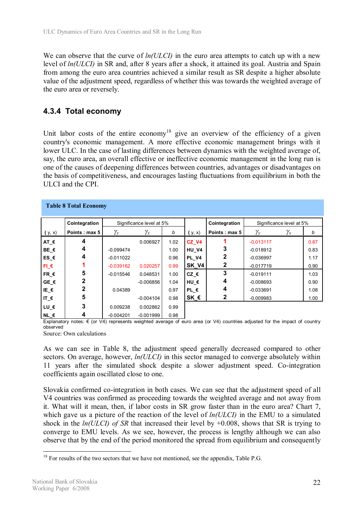We can observe that the curve of  $ln(ULCI)$  in the euro area attempts to catch up with a new level of *ln(ULCI)* in SR and, after 8 years after a shock, it attained its goal. Austria and Spain from among the euro area countries achieved a similar result as SR despite a higher absolute value of the adjustment speed, regardless of whether this was towards the weighted average of the euro area or reversely.

## **4.3.4 Total economy**

Unit labor costs of the entire economy<sup>18</sup> give an overview of the efficiency of a given country's economic management. A more effective economic management brings with it lower ULC. In the case of lasting differences between dynamics with the weighted average of, say, the euro area, an overall effective or ineffective economic management in the long run is one of the causes of deepening differences between countries, advantages or disadvantages on the basis of competitiveness, and encourages lasting fluctuations from equilibrium in both the ULCI and the CPI.

|                 | <b>Table 8 Total Economy</b> |              |                          |      |               |               |                |                          |      |
|-----------------|------------------------------|--------------|--------------------------|------|---------------|---------------|----------------|--------------------------|------|
|                 | Cointegration                |              | Significance level at 5% |      |               | Cointegration |                | Significance level at 5% |      |
| (y, x)          | Points: max 5                | $\gamma_{v}$ | $\gamma_x$               | b    | (y, x)        | Points: max 5 | $\gamma_{\nu}$ | $\gamma_x$               | b    |
| AT €            | 4                            |              | 0.006927                 | 1.02 | CZ V4         |               | $-0.013117$    |                          | 0.87 |
| BE_€            | 4                            | $-0.099474$  |                          | 1.00 | <b>HU V4</b>  | 3             | $-0.018912$    |                          | 0.83 |
| $ES_$           | 4                            | $-0.011022$  |                          | 0.96 | <b>PL V4</b>  | 2             | $-0.036997$    |                          | 1.17 |
| $FI$ $\epsilon$ |                              | $-0.039162$  | 0.020257                 | 0.99 | SK V4         | $\mathbf{2}$  | $-0.017719$    |                          | 0.90 |
| $FR$ $\epsilon$ | 5                            | $-0.015546$  | 0.048531                 | 1.00 | $CZ \in$      | 3             | $-0.019111$    |                          | 1.03 |
| GE $\epsilon$   | 2                            |              | $-0.006856$              | 1.04 | HU €          | 4             | $-0.008693$    |                          | 0.90 |
| IE€             | 2                            | 0.04389      |                          | 0.97 | $PL \in$      | 4             | $-0.033691$    |                          | 1.08 |
| IT_ $\epsilon$  | 5                            |              | $-0.004104$              | 0.98 | SK $\epsilon$ | $\mathbf{2}$  | $-0.009983$    |                          | 1.00 |
| LU_€            | 3                            | 0.009238     | 0.002882                 | 0.99 |               |               |                |                          |      |
| NL $\epsilon$   | 4                            | $-0.004201$  | $-0.001999$              | 0.98 |               |               |                |                          |      |

Explanatory notes: € (or V4) represents weighted average of euro area (or V4) countries adjusted for the impact of country observed

Source: Own calculations

As we can see in Table 8, the adjustment speed generally decreased compared to other sectors. On average, however, *ln(ULCI)* in this sector managed to converge absolutely within 11 years after the simulated shock despite a slower adjustment speed. Co-integration coefficients again oscillated close to one.

Slovakia confirmed co-integration in both cases. We can see that the adjustment speed of all V4 countries was confirmed as proceeding towards the weighted average and not away from it. What will it mean, then, if labor costs in SR grow faster than in the euro area? Chart 7, which gave us a picture of the reaction of the level of *ln(ULCI)* in the EMU to a simulated shock in the *ln(ULCI) of SR* that increased their level by +0.008, shows that SR is trying to converge to EMU levels. As we see, however, the process is lengthy although we can also observe that by the end of the period monitored the spread from equilibrium and consequently

 $\overline{a}$  $18$  For results of the two sectors that we have not mentioned, see the appendix, Table P.G.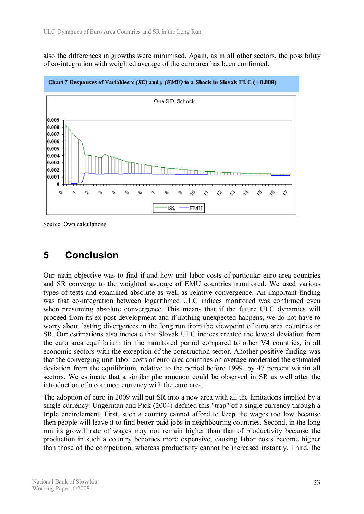also the differences in growths were minimised. Again, as in all other sectors, the possibility of co-integration with weighted average of the euro area has been confirmed.



Chart 7 Responses of Variables x (SK) and y (EMU) to a Shock in Slovak ULC (+0.008)

Source: Own calculations

# **5 Conclusion**

Our main objective was to find if and how unit labor costs of particular euro area countries and SR converge to the weighted average of EMU countries monitored. We used various types of tests and examined absolute as well as relative convergence. An important finding was that co-integration between logarithmed ULC indices monitored was confirmed even when presuming absolute convergence. This means that if the future ULC dynamics will proceed from its ex post development and if nothing unexpected happens, we do not have to worry about lasting divergences in the long run from the viewpoint of euro area countries or SR. Our estimations also indicate that Slovak ULC indices created the lowest deviation from the euro area equilibrium for the monitored period compared to other V4 countries, in all economic sectors with the exception of the construction sector. Another positive finding was that the converging unit labor costs of euro area countries on average moderated the estimated deviation from the equilibrium, relative to the period before 1999, by 47 percent within all sectors. We estimate that a similar phenomenon could be observed in SR as well after the introduction of a common currency with the euro area.

The adoption of euro in 2009 will put SR into a new area with all the limitations implied by a single currency. Ungerman and Pick (2004) defined this "trap" of a single currency through a triple encirclement. First, such a country cannot afford to keep the wages too low because then people will leave it to find better-paid jobs in neighbouring countries. Second, in the long run its growth rate of wages may not remain higher than that of productivity because the production in such a country becomes more expensive, causing labor costs become higher than those of the competition, whereas productivity cannot be increased instantly. Third, the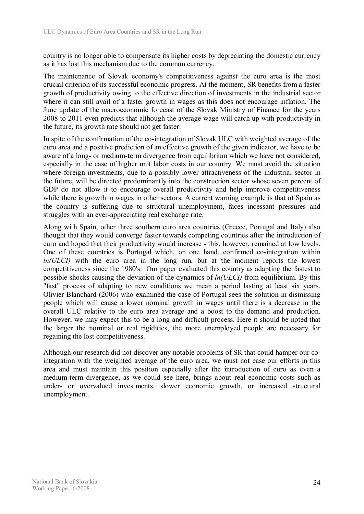country is no longer able to compensate its higher costs by depreciating the domestic currency as it has lost this mechanism due to the common currency.

The maintenance of Slovak economy's competitiveness against the euro area is the most crucial criterion of its successful economic progress. At the moment, SR benefits from a faster growth of productivity owing to the effective direction of investments in the industrial sector where it can still avail of a faster growth in wages as this does not encourage inflation. The June update of the macroeconomic forecast of the Slovak Ministry of Finance for the years 2008 to 2011 even predicts that although the average wage will catch up with productivity in the future, its growth rate should not get faster.

In spite of the confirmation of the co-integration of Slovak ULC with weighted average of the euro area and a positive prediction of an effective growth of the given indicator, we have to be aware of a long- or medium-term divergence from equilibrium which we have not considered, especially in the case of higher unit labor costs in our country. We must avoid the situation where foreign investments, due to a possibly lower attractiveness of the industrial sector in the future, will be directed predominantly into the construction sector whose seven percent of GDP do not allow it to encourage overall productivity and help improve competitiveness while there is growth in wages in other sectors. A current warning example is that of Spain as the country is suffering due to structural unemployment, faces incessant pressures and struggles with an ever-appreciating real exchange rate.

Along with Spain, other three southern euro area countries (Greece, Portugal and Italy) also thought that they would converge faster towards competing countries after the introduction of euro and hoped that their productivity would increase - this, however, remained at low levels. One of these countries is Portugal which, on one hand, confirmed co-integration within *ln(ULCI)* with the euro area in the long run, but at the moment reports the lowest competitiveness since the 1980's. Our paper evaluated this country as adapting the fastest to possible shocks causing the deviation of the dynamics of *ln(ULCI)* from equilibrium. By this "fast" process of adapting to new conditions we mean a period lasting at least six years. Olivier Blanchard (2006) who examined the case of Portugal sees the solution in dismissing people which will cause a lower nominal growth in wages until there is a decrease in the overall ULC relative to the euro area average and a boost to the demand and production. However, we may expect this to be a long and difficult process. Here it should be noted that the larger the nominal or real rigidities, the more unemployed people are necessary for regaining the lost competitiveness.

Although our research did not discover any notable problems of SR that could hamper our cointegration with the weighted average of the euro area, we must not ease our efforts in this area and must maintain this position especially after the introduction of euro as even a medium-term divergence, as we could see here, brings about real economic costs such as under- or overvalued investments, slower economic growth, or increased structural unemployment.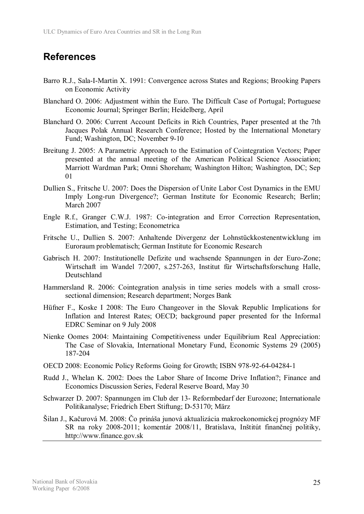# **References**

- Barro R.J., Sala-I-Martin X. 1991: Convergence across States and Regions; Brooking Papers on Economic Activity
- Blanchard O. 2006: Adjustment within the Euro. The Difficult Case of Portugal; Portuguese Economic Journal; Springer Berlin; Heidelberg, April
- Blanchard O. 2006: Current Account Deficits in Rich Countries, Paper presented at the 7th Jacques Polak Annual Research Conference; Hosted by the International Monetary Fund; Washington, DC; November 9-10
- Breitung J. 2005: A Parametric Approach to the Estimation of Cointegration Vectors; Paper presented at the annual meeting of the American Political Science Association; Marriott Wardman Park; Omni Shoreham; Washington Hilton; Washington, DC; Sep 01
- Dullien S., Fritsche U. 2007: Does the Dispersion of Unite Labor Cost Dynamics in the EMU Imply Long-run Divergence?; German Institute for Economic Research; Berlin; March 2007
- Engle R.f., Granger C.W.J. 1987: Co-integration and Error Correction Representation, Estimation, and Testing; Econometrica
- Fritsche U., Dullien S. 2007: Anhaltende Divergenz der Lohnstückkostenentwicklung im Euroraum problematisch; German Institute for Economic Research
- Gabrisch H. 2007: Institutionelle Defizite und wachsende Spannungen in der Euro-Zone; Wirtschaft im Wandel 7/2007, s.257-263, Institut für Wirtschaftsforschung Halle, Deutschland
- Hammersland R. 2006: Cointegration analysis in time series models with a small crosssectional dimension; Research department; Norges Bank
- Hüfner F., Koske I 2008: The Euro Changeover in the Slovak Republic Implications for Inflation and Interest Rates; OECD; background paper presented for the Informal EDRC Seminar on 9 July 2008
- Nienke Oomes 2004: Maintaining Competitiveness under Equilibrium Real Appreciation: The Case of Slovakia, International Monetary Fund, Economic Systems 29 (2005) 187-204
- OECD 2008: Economic Policy Reforms Going for Growth; ISBN 978-92-64-04284-1
- Rudd J., Whelan K. 2002: Does the Labor Share of Income Drive Inflation?; Finance and Economics Discussion Series, Federal Reserve Board, May 30
- Schwarzer D. 2007: Spannungen im Club der 13- Reformbedarf der Eurozone; Internationale Politikanalyse; Friedrich Ebert Stiftung; D-53170; März
- Šilan J., Kačurová M. 2008: Čo prináša junová aktualizácia makroekonomickej prognózy MF SR na roky 2008-2011; komentár 2008/11, Bratislava, Inštitút finančnej politiky, http://www.finance.gov.sk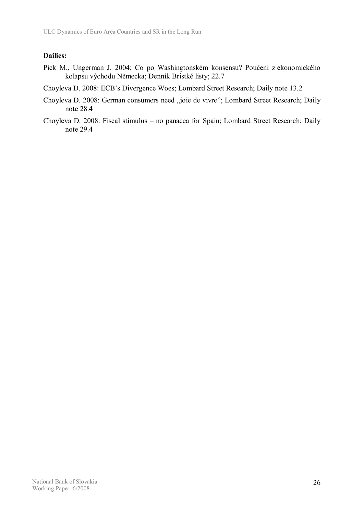#### **Dailies:**

- Pick M., Ungerman J. 2004: Co po Washingtonském konsensu? Poučení z ekonomického kolapsu východu Německa; Denník Bristké listy; 22.7
- Choyleva D. 2008: ECB's Divergence Woes; Lombard Street Research; Daily note 13.2
- Choyleva D. 2008: German consumers need "joie de vivre"; Lombard Street Research; Daily note 28.4
- Choyleva D. 2008: Fiscal stimulus no panacea for Spain; Lombard Street Research; Daily note 29.4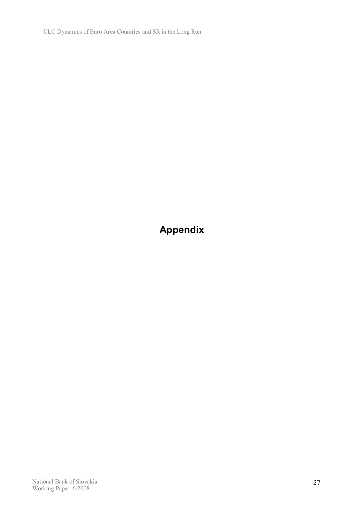ULC Dynamics of Euro Area Countries and SR in the Long Run

**Appendix**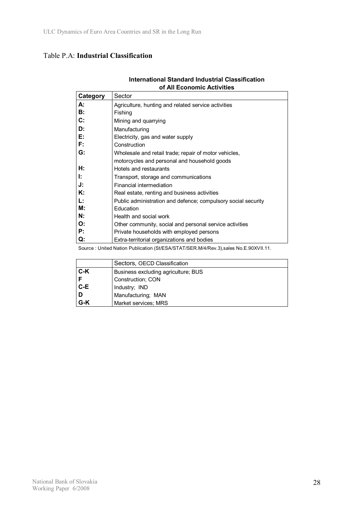### Table P.A: **Industrial Classification**

| Category       | Sector                                                        |
|----------------|---------------------------------------------------------------|
| А:             | Agriculture, hunting and related service activities           |
| <b>B:</b>      | Fishing                                                       |
| $\mathbf{C}$ : | Mining and quarrying                                          |
| D:             | Manufacturing                                                 |
| Е:             | Electricity, gas and water supply                             |
| F:             | Construction                                                  |
| G:             | Wholesale and retail trade; repair of motor vehicles,         |
|                | motorcycles and personal and household goods                  |
| H:             | Hotels and restaurants                                        |
| Ŀ.             | Transport, storage and communications                         |
| J:             | Financial intermediation                                      |
| К:             | Real estate, renting and business activities                  |
| Ŀ.             | Public administration and defence; compulsory social security |
| М:             | Education                                                     |
| N:             | Health and social work                                        |
| O:             | Other community, social and personal service activities       |
| P:             | Private households with employed persons                      |
| Q.             | Extra-territorial organizations and bodies                    |

#### **International Standard Industrial Classification of All Economic Activities**

Source : United Nation Publication (St/ESA/STAT/SER.M/4/Rev.3),sales No.E.90XVII.11.

|       | Sectors, OECD Classification        |
|-------|-------------------------------------|
| C-K   | Business excluding agriculture; BUS |
|       | Construction; CON                   |
| $C-E$ | Industry; IND                       |
|       | Manufacturing; MAN                  |
| G-K   | Market services; MRS                |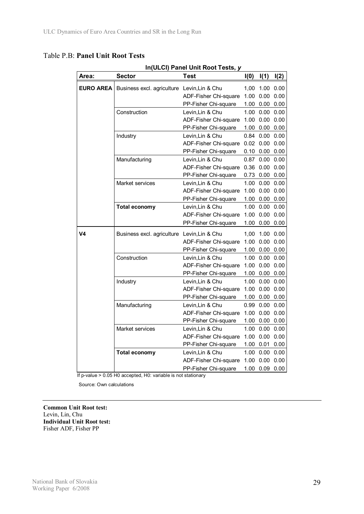| In(ULCI) Panel Unit Root Tests, y |                                             |                       |      |                |      |  |  |  |  |
|-----------------------------------|---------------------------------------------|-----------------------|------|----------------|------|--|--|--|--|
| Area:                             | <b>Sector</b>                               | <b>Test</b>           | I(0) | I(1)           | I(2) |  |  |  |  |
| <b>EURO AREA</b>                  | Business excl. agriculture Levin, Lin & Chu |                       | 1,00 | 1.00           | 0.00 |  |  |  |  |
|                                   |                                             | ADF-Fisher Chi-square | 1.00 | 0.00           | 0.00 |  |  |  |  |
|                                   |                                             | PP-Fisher Chi-square  |      | 1.00 0.00      | 0.00 |  |  |  |  |
|                                   | Construction                                | Levin, Lin & Chu      |      | 1.00 0.00      | 0.00 |  |  |  |  |
|                                   |                                             | ADF-Fisher Chi-square |      | 1.00 0.00      | 0.00 |  |  |  |  |
|                                   |                                             | PP-Fisher Chi-square  |      | 1.00 0.00 0.00 |      |  |  |  |  |
|                                   | Industry                                    | Levin, Lin & Chu      |      | $0.84$ 0.00    | 0.00 |  |  |  |  |
|                                   |                                             | ADF-Fisher Chi-square |      | $0.02\ 0.00$   | 0.00 |  |  |  |  |
|                                   |                                             | PP-Fisher Chi-square  |      | $0.10\ 0.00$   | 0.00 |  |  |  |  |
|                                   | Manufacturing                               | Levin, Lin & Chu      |      | $0.87$ 0.00    | 0.00 |  |  |  |  |
|                                   |                                             | ADF-Fisher Chi-square |      | $0.36$ $0.00$  | 0.00 |  |  |  |  |
|                                   |                                             | PP-Fisher Chi-square  |      | 0.73 0.00 0.00 |      |  |  |  |  |
|                                   | Market services                             | Levin, Lin & Chu      |      | 1.00 0.00      | 0.00 |  |  |  |  |
|                                   |                                             | ADF-Fisher Chi-square |      | 1.00 0.00      | 0.00 |  |  |  |  |
|                                   |                                             | PP-Fisher Chi-square  |      | 1.00 0.00      | 0.00 |  |  |  |  |
|                                   | <b>Total economy</b>                        | Levin, Lin & Chu      |      | 1.00 0.00      | 0.00 |  |  |  |  |
|                                   |                                             | ADF-Fisher Chi-square |      | 1.00 0.00      | 0.00 |  |  |  |  |
|                                   |                                             | PP-Fisher Chi-square  |      | 1.00 0.00      | 0.00 |  |  |  |  |
| V4                                | Business excl. agriculture                  | Levin, Lin & Chu      | 1,00 | 1.00           | 0.00 |  |  |  |  |
|                                   |                                             | ADF-Fisher Chi-square |      | 1.00 0.00      | 0.00 |  |  |  |  |
|                                   |                                             | PP-Fisher Chi-square  |      | 1.00 0.00 0.00 |      |  |  |  |  |
|                                   | Construction                                | Levin, Lin & Chu      |      | 1.00 0.00      | 0.00 |  |  |  |  |
|                                   |                                             | ADF-Fisher Chi-square |      | $1.00\ 0.00$   | 0.00 |  |  |  |  |
|                                   |                                             | PP-Fisher Chi-square  |      | 1.00 0.00      | 0.00 |  |  |  |  |
|                                   | Industry                                    | Levin, Lin & Chu      |      | 1.00 0.00      | 0.00 |  |  |  |  |
|                                   |                                             | ADF-Fisher Chi-square |      | 1.00 0.00      | 0.00 |  |  |  |  |
|                                   |                                             | PP-Fisher Chi-square  |      | 1.00 0.00      | 0.00 |  |  |  |  |
|                                   | Manufacturing                               | Levin, Lin & Chu      |      | $0.99\ 0.00$   | 0.00 |  |  |  |  |
|                                   |                                             | ADF-Fisher Chi-square |      | 1.00 0.00      | 0.00 |  |  |  |  |
|                                   |                                             | PP-Fisher Chi-square  |      | 1.00 0.00      | 0.00 |  |  |  |  |
|                                   | Market services                             | Levin, Lin & Chu      |      | 1.00 0.00      | 0.00 |  |  |  |  |
|                                   |                                             | ADF-Fisher Chi-square |      | 1.00 0.00      | 0.00 |  |  |  |  |
|                                   |                                             | PP-Fisher Chi-square  |      | $1.00$ 0.01    | 0.00 |  |  |  |  |
|                                   | <b>Total economy</b>                        | Levin, Lin & Chu      |      | 1.00 0.00      | 0.00 |  |  |  |  |
|                                   |                                             | ADF-Fisher Chi-square |      | 1.00 0.00      | 0.00 |  |  |  |  |
|                                   |                                             | PP-Fisher Chi-square  |      | 1.00 0.09      | 0.00 |  |  |  |  |

If p-value > 0.05 H0 accepted, H0: variable is not stationary

Source: Own calculations

**Common Unit Root test:**  Levin, Lin, Chu **Individual Unit Root test:**  Fisher ADF, Fisher PP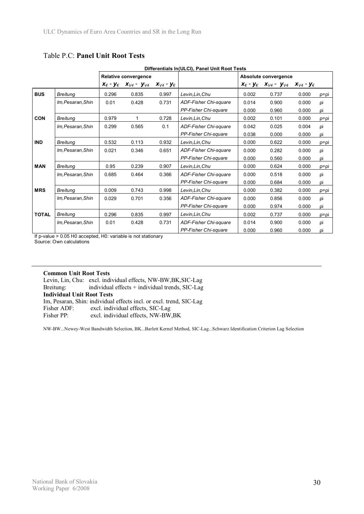|              | Differentials In(ULCI), Panel Unit Root Tests |                                 |                      |                               |                       |                      |                                                     |                                        |      |  |
|--------------|-----------------------------------------------|---------------------------------|----------------------|-------------------------------|-----------------------|----------------------|-----------------------------------------------------|----------------------------------------|------|--|
|              |                                               |                                 | Relative convergence |                               |                       | Absolute convergence |                                                     |                                        |      |  |
|              |                                               | $X_{\epsilon}$ - $Y_{\epsilon}$ | $x_{V4} - y_{V4}$    | $X_{V4}$ - $\mathsf{y}_{\in}$ |                       |                      | $X_{\epsilon}$ - $Y_{\epsilon}$ $X_{V4}$ - $Y_{V4}$ | $\mathbf{x}_{V4}$ - $\mathbf{y}_{\in}$ |      |  |
| <b>BUS</b>   | <b>Breitung</b>                               | 0.296                           | 0.835                | 0.997                         | Levin, Lin, Chu       | 0.002                | 0.737                                               | 0.000                                  | ρ=ρi |  |
|              | Im, Pesaran, Shin                             | 0.01                            | 0.428                | 0.731                         | ADF-Fisher Chi-square | 0.014                | 0.900                                               | 0.000                                  | ρi   |  |
|              |                                               |                                 |                      |                               | PP-Fisher Chi-square  | 0.000                | 0.960                                               | 0.000                                  | ρi   |  |
| <b>CON</b>   | <b>Breitung</b>                               | 0.979                           | 1                    | 0.728                         | Levin,Lin,Chu         | 0.002                | 0.101                                               | 0.000                                  | ρ=ρi |  |
|              | Im.Pesaran.Shin                               | 0.299                           | 0.565                | 0.1                           | ADF-Fisher Chi-square | 0.042                | 0.025                                               | 0.004                                  | ρi   |  |
|              |                                               |                                 |                      |                               | PP-Fisher Chi-square  | 0.038                | 0.000                                               | 0.000                                  | ρi   |  |
| <b>IND</b>   | <b>Breitung</b>                               | 0.532                           | 0.113                | 0.932                         | Levin, Lin, Chu       | 0.000                | 0.622                                               | 0.000                                  | p=pi |  |
|              | Im, Pesaran, Shin                             | 0.021                           | 0.346                | 0.651                         | ADF-Fisher Chi-square | 0.000                | 0.282                                               | 0.000                                  | ρi   |  |
|              |                                               |                                 |                      |                               | PP-Fisher Chi-square  | 0.000                | 0.560                                               | 0.000                                  | ρi   |  |
| <b>MAN</b>   | <b>Breitung</b>                               | 0.95                            | 0.239                | 0.907                         | Levin,Lin,Chu         | 0.000                | 0.624                                               | 0.000                                  | ρ=ρi |  |
|              | Im, Pesaran, Shin                             | 0.685                           | 0.464                | 0.366                         | ADF-Fisher Chi-square | 0.000                | 0.518                                               | 0.000                                  | ρi   |  |
|              |                                               |                                 |                      |                               | PP-Fisher Chi-square  | 0.000                | 0.684                                               | 0.000                                  | ρi   |  |
| <b>MRS</b>   | <b>Breitung</b>                               | 0.009                           | 0.743                | 0.998                         | Levin, Lin, Chu       | 0.000                | 0.382                                               | 0.000                                  | ρ=ρi |  |
|              | Im, Pesaran, Shin                             | 0.029                           | 0.701                | 0.356                         | ADF-Fisher Chi-square | 0.000                | 0.856                                               | 0.000                                  | ρi   |  |
|              |                                               |                                 |                      |                               | PP-Fisher Chi-square  | 0.000                | 0.974                                               | 0.000                                  | ρi   |  |
| <b>TOTAL</b> | <b>Breitung</b>                               | 0.296                           | 0.835                | 0.997                         | Levin,Lin,Chu         | 0.002                | 0.737                                               | 0.000                                  | p=pi |  |
|              | Im, Pesaran, Shin                             | 0.01                            | 0.428                | 0.731                         | ADF-Fisher Chi-square | 0.014                | 0.900                                               | 0.000                                  | ρi   |  |
|              |                                               |                                 |                      |                               | PP-Fisher Chi-square  | 0.000                | 0.960                                               | 0.000                                  | ρi   |  |

### Table P.C: **Panel Unit Root Tests**

If p-value > 0.05 H0 accepted, H0: variable is not stationary Source: Own calculations

#### **Common Unit Root Tests**

Levin, Lin, Chu: excl. individual effects, NW-BW,BK,SIC-Lag Breitung: individual effects + individual trends, SIC-Lag **Individual Unit Root Tests**  Im, Pesaran, Shin: individual effects incl. or excl. trend, SIC-Lag Fisher ADF: excl. individual effects, SIC-Lag Fisher PP: excl. individual effects, NW-BW, BK

NW-BW...Newey-West Bandwidth Selection, BK...Barlett Kernel Method, SIC-Lag...Schwarz Identification Criterion Lag Selection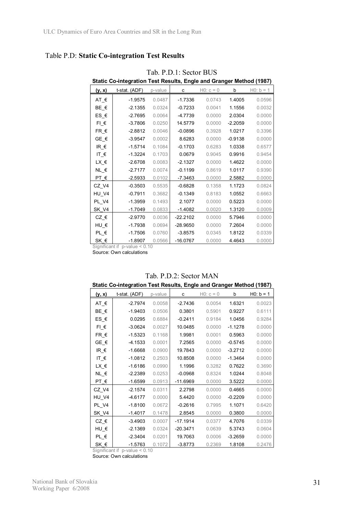### Table P.D: **Static Co-integration Test Results**

| Static Co-integration Test Results, Engle and Granger Method (1987) |               |         |            |             |           |             |  |  |
|---------------------------------------------------------------------|---------------|---------|------------|-------------|-----------|-------------|--|--|
| <u>(y, x)</u>                                                       | t-stat. (ADF) | p-value | с          | $HO: c = 0$ | b         | $H0: b = 1$ |  |  |
| $AT \in$                                                            | $-1.9575$     | 0.0487  | $-1.7336$  | 0.0743      | 1.4005    | 0.0596      |  |  |
| BE €                                                                | $-2.1355$     | 0.0324  | $-0.7233$  | 0.0041      | 1.1556    | 0.0032      |  |  |
| $ES \in$                                                            | $-2.7695$     | 0.0064  | $-4.7739$  | 0.0000      | 2.0304    | 0.0000      |  |  |
| $FI$ $\in$                                                          | $-3.7806$     | 0.0250  | 14.5779    | 0.0000      | $-2.2059$ | 0.0000      |  |  |
| $FR$ $E$                                                            | $-2.8812$     | 0.0046  | $-0.0896$  | 0.3928      | 1.0217    | 0.3396      |  |  |
| $GE \in$                                                            | $-3.9547$     | 0.0002  | 8.6283     | 0.0000      | $-0.9138$ | 0.0000      |  |  |
| IR $\epsilon$                                                       | $-1.5714$     | 0.1084  | $-0.1703$  | 0.6283      | 1.0338    | 0.6577      |  |  |
| IT_ $\epsilon$                                                      | $-1.3224$     | 0.1703  | 0.0679     | 0.9045      | 0.9916    | 0.9454      |  |  |
| LX_€                                                                | $-2.6708$     | 0.0083  | $-2.1327$  | 0.0000      | 1.4622    | 0.0000      |  |  |
| $NL$ $\in$                                                          | $-2.7177$     | 0.0074  | $-0.1199$  | 0.8619      | 1.0117    | 0.9390      |  |  |
| PT $\epsilon$                                                       | $-2.5933$     | 0.0102  | $-7.3463$  | 0.0000      | 2.5882    | 0.0000      |  |  |
| CZ V4                                                               | $-0.3503$     | 0.5535  | $-0.6828$  | 0.1358      | 1.1723    | 0.0824      |  |  |
| HU V4                                                               | $-0.7911$     | 0.3682  | $-0.1349$  | 0.8183      | 1.0552    | 0.6663      |  |  |
| PL V4                                                               | $-1.3959$     | 0.1493  | 2.1077     | 0.0000      | 0.5223    | 0.0000      |  |  |
| SK V4                                                               | $-1.7049$     | 0.0833  | $-1.4082$  | 0.0020      | 1.3120    | 0.0009      |  |  |
| $CZ \in$                                                            | $-2.9770$     | 0.0036  | $-22.2102$ | 0.0000      | 5.7946    | 0.0000      |  |  |
| $HU \in$                                                            | $-1.7938$     | 0.0694  | $-28.9650$ | 0.0000      | 7.2604    | 0.0000      |  |  |
| $PL$ $\in$                                                          | $-1.7506$     | 0.0760  | $-3.8575$  | 0.0345      | 1.8122    | 0.0339      |  |  |
| SK $\epsilon$                                                       | $-1.8907$     | 0.0566  | $-16.0767$ | 0.0000      | 4.4643    | 0.0000      |  |  |

Tab. P.D.1: Sector BUS

Significant if p-value < 0.10

Source: Own calculations

| <u>(y, x)</u>                    | t-stat. (ADF) | p-value | с          | $HO: c = 0$ | b         | $H0: b = 1$ |
|----------------------------------|---------------|---------|------------|-------------|-----------|-------------|
|                                  |               |         |            |             |           |             |
| $AT_{\epsilon}$                  | $-2.7974$     | 0.0058  | $-2.7436$  | 0.0054      | 1.6321    | 0.0023      |
| BE_€                             | $-1.9403$     | 0.0506  | 0.3801     | 0.5901      | 0.9227    | 0.6111      |
| ES_€                             | 0.0295        | 0.6884  | $-0.2411$  | 0.9184      | 1.0456    | 0.9284      |
| $FI$ $\varepsilon$               | $-3.0624$     | 0.0027  | 10.0485    | 0.0000      | $-1.1278$ | 0.0000      |
| $FR \in$                         | $-1.5323$     | 0.1168  | 1.9981     | 0.0001      | 0.5963    | 0.0000      |
| $GE$ <sub><math>\xi</math></sub> | $-4.1533$     | 0.0001  | 7.2565     | 0.0000      | $-0.5745$ | 0.0000      |
| IR $\epsilon$                    | $-1.6668$     | 0.0900  | 19.7843    | 0.0000      | $-3.2712$ | 0.0000      |
| IT_ $\epsilon$                   | $-1.0812$     | 0.2503  | 10.8508    | 0.0000      | $-1.3464$ | 0.0000      |
| $LX$ $\in$                       | $-1.6186$     | 0.0990  | 1.1996     | 0.3282      | 0.7622    | 0.3690      |
| $NL$ $\in$                       | $-2.2389$     | 0.0253  | $-0.0968$  | 0.8324      | 1.0244    | 0.8048      |
| $PT$ $\in$                       | $-1.6599$     | 0.0913  | $-11.6969$ | 0.0000      | 3.5222    | 0.0000      |
| CZ_V4                            | $-2.1574$     | 0.0311  | 2.2798     | 0.0000      | 0.4665    | 0.0000      |
| HU V4                            | $-4.6177$     | 0.0000  | 5.4420     | 0.0000      | $-0.2209$ | 0.0000      |
| PL V4                            | $-1.8100$     | 0.0672  | $-0.2616$  | 0.7995      | 1.1071    | 0.6420      |
| SK_V4                            | $-1.4017$     | 0.1478  | 2.8545     | 0.0000      | 0.3800    | 0.0000      |
| $CZ$ $\in$                       | $-3.4903$     | 0.0007  | $-17.1914$ | 0.0377      | 4.7076    | 0.0339      |
| HU_€                             | $-2.1369$     | 0.0324  | $-20.3471$ | 0.0639      | 5.3743    | 0.0604      |
| $PL \in$                         | $-2.3404$     | 0.0201  | 19.7063    | 0.0006      | $-3.2659$ | 0.0000      |
| SK €                             | $-1.5763$     | 0.1072  | $-3.8773$  | 0.2369      | 1.8108    | 0.2476      |

#### Tab. P.D.2: Sector MAN **Static Co-integration Test Results, Engle and Granger Method (1987)**

 Significant if p-value < 0.10 Source: Own calculations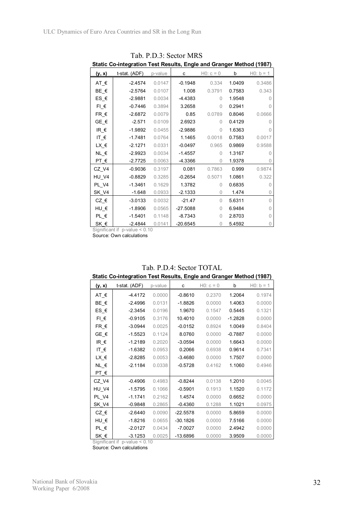| Static Co-integration Test Results, Engle and Granger Method (1987) |               |         |            |             |        |              |  |  |  |
|---------------------------------------------------------------------|---------------|---------|------------|-------------|--------|--------------|--|--|--|
| <u>(y, x)</u>                                                       | t-stat. (ADF) | p-value | с          | $HO: c = 0$ | b      | $H0: b = 1$  |  |  |  |
| $AT \in$                                                            | $-2.4574$     | 0.0147  | $-0.1948$  | 0.334       | 1.0409 | 0.3486       |  |  |  |
| $BE \in$                                                            | $-2.5764$     | 0.0107  | 1.008      | 0.3791      | 0.7583 | 0.343        |  |  |  |
| ES_€                                                                | $-2.9881$     | 0.0034  | $-4.4383$  | 0           | 1.9548 | O            |  |  |  |
| $FI$ $\varepsilon$                                                  | $-0.7446$     | 0.3894  | 3.2658     | $\Omega$    | 0.2941 | 0            |  |  |  |
| $FR \in$                                                            | $-2.6872$     | 0.0079  | 0.85       | 0.0789      | 0.8046 | 0.0666       |  |  |  |
| $GE \in$                                                            | $-2.571$      | 0.0109  | 2.6923     | $\Omega$    | 0.4129 | 0            |  |  |  |
| IR $\epsilon$                                                       | $-1.9892$     | 0.0455  | $-2.9886$  | 0           | 1.6363 | $\Omega$     |  |  |  |
| IT $\epsilon$                                                       | $-1.7481$     | 0.0764  | 1.1465     | 0.0018      | 0.7583 | 0.0017       |  |  |  |
| LX_€                                                                | $-2.1271$     | 0.0331  | $-0.0497$  | 0.965       | 0.9869 | 0.9588       |  |  |  |
| $NL \in$                                                            | $-2.9923$     | 0.0034  | $-1.4557$  | $\Omega$    | 1.3167 | $\Omega$     |  |  |  |
| $PT$ $\in$                                                          | $-2.7725$     | 0.0063  | -4.3366    | 0           | 1.9378 | 0            |  |  |  |
| CZ V4                                                               | $-0.9036$     | 0.3197  | 0.081      | 0.7863      | 0.999  | 0.9874       |  |  |  |
| HU V4                                                               | $-0.8829$     | 0.3285  | $-0.2654$  | 0.5071      | 1.0861 | 0.322        |  |  |  |
| PL V4                                                               | $-1.3461$     | 0.1629  | 1.3782     | $\Omega$    | 0.6835 | <sup>n</sup> |  |  |  |
| SK_V4                                                               | $-1.648$      | 0.0933  | $-2.1333$  | 0           | 1.474  | 0            |  |  |  |
| $CZ$ $\in$                                                          | $-3.0133$     | 0.0032  | $-21.47$   | 0           | 5.6311 | $\Omega$     |  |  |  |
| HU_€                                                                | $-1.8906$     | 0.0565  | $-27.5088$ | 0           | 6.9484 | $\Omega$     |  |  |  |
| $PL$ $\in$                                                          | $-1.5401$     | 0.1148  | $-8.7343$  | $\Omega$    | 2.8703 | O            |  |  |  |
| SK_€                                                                | $-2.4844$     | 0.0141  | $-20.6545$ | 0           | 5.4592 | 0            |  |  |  |

Tab. P.D.3: Sector MRS

Significant if p-value < 0.10

Source: Own calculations

| Static Co-integration Test Results, Engle and Granger Method (1987) |               |         |            |             |           |             |  |  |  |
|---------------------------------------------------------------------|---------------|---------|------------|-------------|-----------|-------------|--|--|--|
| (y, x)                                                              | t-stat. (ADF) | p-value | c          | $HO: c = 0$ | b         | $H0: b = 1$ |  |  |  |
| AT $\epsilon$                                                       | $-4.4172$     | 0.0000  | $-0.8610$  | 0.2370      | 1.2064    | 0.1974      |  |  |  |
| BE €                                                                | $-2.4996$     | 0.0131  | $-1.8826$  | 0.0000      | 1.4063    | 0.0000      |  |  |  |
| $ES$ $E$                                                            | $-2.3454$     | 0.0196  | 1.9670     | 0.1547      | 0.5445    | 0.1321      |  |  |  |
| $FL \in$                                                            | $-0.9105$     | 0.3176  | 10.4010    | 0.0000      | $-1.2828$ | 0.0000      |  |  |  |
| $FR \in$                                                            | $-3.0944$     | 0.0025  | $-0.0152$  | 0.8924      | 1.0049    | 0.8404      |  |  |  |
| GE $\epsilon$                                                       | $-1.5523$     | 0.1124  | 8.0760     | 0.0000      | $-0.7887$ | 0.0000      |  |  |  |
| $IR$ $\in$                                                          | $-1.2189$     | 0.2020  | $-3.0594$  | 0.0000      | 1.6643    | 0.0000      |  |  |  |
| IT_ $\epsilon$                                                      | $-1.6382$     | 0.0953  | 0.2066     | 0.6938      | 0.9614    | 0.7341      |  |  |  |
| LX_€                                                                | $-2.8285$     | 0.0053  | $-3.4680$  | 0.0000      | 1.7507    | 0.0000      |  |  |  |
| $NL \in$                                                            | $-2.1184$     | 0.0338  | $-0.5728$  | 0.4162      | 1.1060    | 0.4946      |  |  |  |
| PT $\epsilon$                                                       |               |         |            |             |           |             |  |  |  |
| CZ V4                                                               | $-0.4906$     | 0.4983  | $-0.8244$  | 0.0138      | 1.2010    | 0.0045      |  |  |  |
| HU V4                                                               | $-1.5795$     | 0.1066  | $-0.5901$  | 0.1913      | 1.1520    | 0.1172      |  |  |  |
| PL V4                                                               | $-1.1741$     | 0.2162  | 1.4574     | 0.0000      | 0.6652    | 0.0000      |  |  |  |
| SK V4                                                               | $-0.9848$     | 0.2865  | $-0.4360$  | 0.1288      | 1.1021    | 0.0975      |  |  |  |
| $CZ_{\text{E}}$                                                     | $-2.6440$     | 0.0090  | $-22.5578$ | 0.0000      | 5.8659    | 0.0000      |  |  |  |
| HU $\epsilon$                                                       | $-1.8216$     | 0.0655  | $-30.1826$ | 0.0000      | 7.5166    | 0.0000      |  |  |  |
| $PL$ $\in$                                                          | $-2.0127$     | 0.0434  | $-7.0027$  | 0.0000      | 2.4942    | 0.0000      |  |  |  |
| SK $\epsilon$                                                       | $-3.1253$     | 0.0025  | $-13.6896$ | 0.0000      | 3.9509    | 0.0000      |  |  |  |

# Tab. P.D.4: Sector TOTAL

 Significant if p-value < 0.10 Source: Own calculations

National Bank of Slovakia Working Paper 6/2008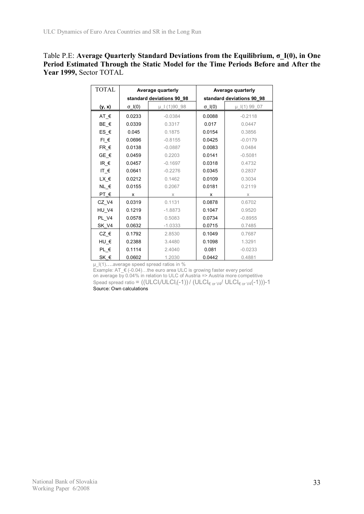| Table P.E: Average Quarterly Standard Deviations from the Equilibrium, $\sigma$ I(0), in One |
|----------------------------------------------------------------------------------------------|
| Period Estimated Through the Static Model for the Time Periods Before and After the          |
| Year 1999, Sector TOTAL                                                                      |

| <b>TOTAL</b>                          |                 | Average quarterly         |                 | Average quarterly         |
|---------------------------------------|-----------------|---------------------------|-----------------|---------------------------|
|                                       |                 | standard deviations 90 98 |                 | standard deviations 90 98 |
| (y, x)                                | $\sigma$ $I(0)$ | µ 1 (1)90 98              | $\sigma$ $I(0)$ | $\mu$ $(1)$ 99 07         |
| $AT_f$                                | 0.0233          | $-0.0384$                 | 0.0088          | $-0.2118$                 |
| BE €                                  | 0.0339          | 0.3317                    | 0.017           | 0.0447                    |
| $ES \in$                              | 0.045           | 0.1875                    | 0.0154          | 0.3856                    |
| $FI$ $\in$                            | 0.0696          | $-0.8155$                 | 0.0425          | $-0.0179$                 |
| $FR \in$                              | 0.0138          | $-0.0887$                 | 0.0083          | 0.0484                    |
| GE $\epsilon$                         | 0.0459          | 0.2203                    | 0.0141          | $-0.5081$                 |
| IR $\epsilon$                         | 0.0457          | $-0.1697$                 | 0.0318          | 0.4732                    |
| IT_ $\epsilon$                        | 0.0641          | $-0.2276$                 | 0.0345          | 0.2837                    |
| LX_€                                  | 0.0212          | 0.1462                    | 0.0109          | 0.3034                    |
| $NL$ $\in$                            | 0.0155          | 0.2067                    | 0.0181          | 0.2119                    |
| PT $\epsilon$                         | X               | X                         | x               | $\times$                  |
| CZ V4                                 | 0.0319          | 0.1131                    | 0.0878          | 0.6702                    |
| HU V4                                 | 0.1219          | $-1.8873$                 | 0.1047          | 0.9520                    |
| PL V4                                 | 0.0578          | 0.5083                    | 0.0734          | $-0.8955$                 |
| SK V4                                 | 0.0632          | $-1.0333$                 | 0.0715          | 0.7485                    |
| $CZ$ <sub><math>\epsilon</math></sub> | 0.1792          | 2.8530                    | 0.1049          | 0.7687                    |
| HU $\epsilon$                         | 0.2388          | 3.4480                    | 0.1098          | 1.3291                    |
| $PL_E$                                | 0.1114          | 2.4040                    | 0.081           | $-0.0233$                 |
| SK €                                  | 0.0602          | 1.2030                    | 0.0442          | 0.4881                    |

μ\_I(1)....average speed spread ratios in %

Example:  $AT \in (-0.04)$ ...the euro area ULC is growing faster every period on average by 0.04% in relation to ULC of Austria => Austria more competitive Spead spread ratio =  $((\mathsf{ULCI}_{\mathsf{i}}/\mathsf{ULCI}_{\mathsf{i}}(-1))/(\mathsf{ULCI}_{\infty \text{ or } \mathsf{V4}}/\mathsf{ULCI}_{\infty \text{ or } \mathsf{V4}}(-1)))$ -1 Source: Own calculations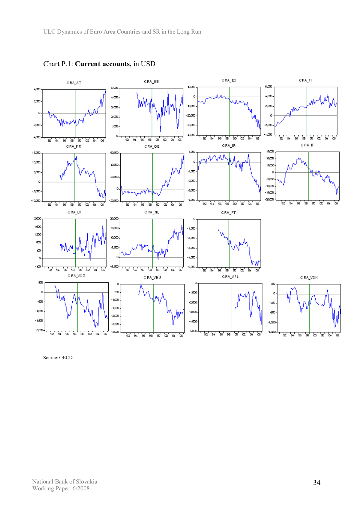

Chart P.1: **Current accounts,** in USD

Source: OECD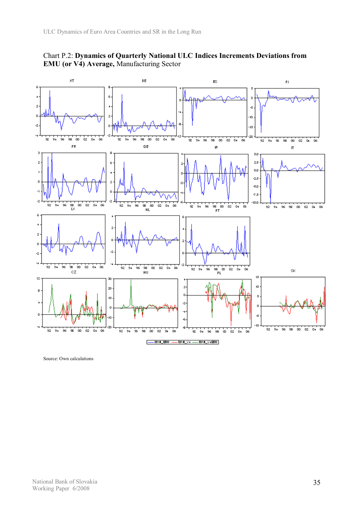

Chart P.2: **Dynamics of Quarterly National ULC Indices Increments Deviations from EMU (or V4) Average,** Manufacturing Sector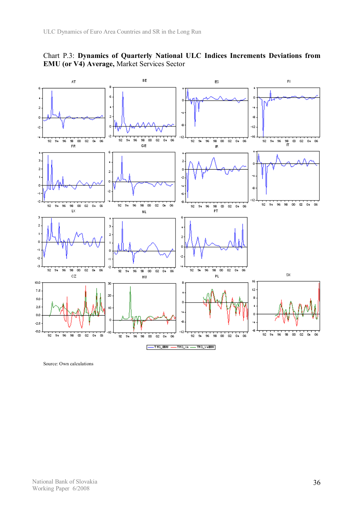

Chart P.3: **Dynamics of Quarterly National ULC Indices Increments Deviations from EMU (or V4) Average,** Market Services Sector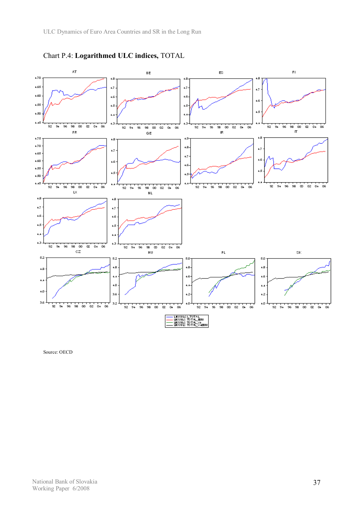

Chart P.4: **Logarithmed ULC indices,** TOTAL

Source: OECD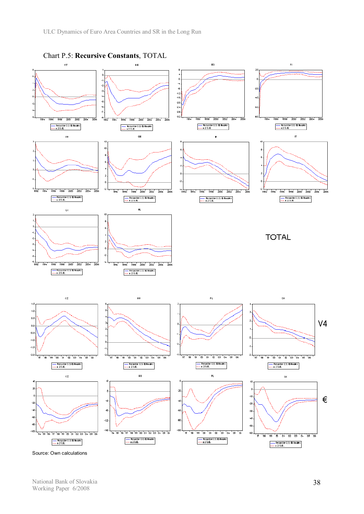

National Bank of Slovakia Working Paper 6/2008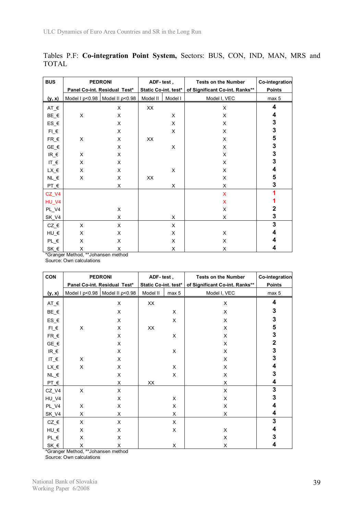| <b>BUS</b>                            | <b>PEDRONI</b> |                                    | ADF-test,            |         | <b>Tests on the Number</b>     | Co-integration |
|---------------------------------------|----------------|------------------------------------|----------------------|---------|--------------------------------|----------------|
|                                       |                | Panel Co-int. Residual Test*       | Static Co-int. test* |         | of Significant Co-int. Ranks** | <b>Points</b>  |
| (y, x)                                |                | Model I $p<0.98$ Model II $p<0.98$ | Model II             | Model I | Model I, VEC                   | max 5          |
| $AT_f$                                |                | X                                  | XX                   |         | X                              | 4              |
| $BE$ <sub><math>\xi</math></sub>      | X              | X                                  |                      | X       | X                              | 4              |
| $ES_E$                                |                | X                                  |                      | X       | X                              | 3              |
| $FI_E$                                |                | X                                  |                      | X       | X                              | 3              |
| $FR$ $\epsilon$                       | X              | X                                  | XX                   |         | X                              | 5              |
| $GE_{}^{}$ $E_{}^{}$                  |                | X                                  |                      | X       | X                              | 3              |
| $IR_f$                                | X              | X                                  |                      |         | X                              | $\mathbf 3$    |
| $IT_{\epsilon}$                       | X              | X                                  |                      |         | X                              | 3              |
| $LX$ <sup><math>\in</math></sup>      | X              | X                                  |                      | X       | X                              | 4              |
| $NL$ $\in$                            | X              | X                                  | XX                   |         | X                              | 5              |
| $PT_f$                                |                | X                                  |                      | X       | X                              | 3              |
| $CZ_V4$                               |                |                                    |                      |         | $\mathsf{x}$                   |                |
| HU_V4                                 |                |                                    |                      |         | X                              |                |
| PL_V4                                 |                | X                                  |                      |         | X                              | 2              |
| SK_V4                                 |                | X                                  |                      | X       | X                              | 3              |
| $CZ$ <sub><math>\epsilon</math></sub> | X              | X                                  |                      | X       |                                | 3              |
| $HU$ $E$                              | X              | X                                  |                      | X       | X                              | 4              |
| $PL_$ $\varepsilon$                   | X              | Χ                                  |                      | X       | X                              | 4              |
| SK_€                                  | X              | X                                  |                      | X       | X                              | 4              |

Tables P.F: **Co-integration Point System,** Sectors: BUS, CON, IND, MAN, MRS and TOTAL

\*Granger Method, \*\*Johansen method

Source: Own calculations

| <b>CON</b>                              | <b>PEDRONI</b> |                                    | ADF-test,            |       | <b>Tests on the Number</b>     | Co-integration |
|-----------------------------------------|----------------|------------------------------------|----------------------|-------|--------------------------------|----------------|
|                                         |                | Panel Co-int. Residual Test*       | Static Co-int. test* |       | of Significant Co-int. Ranks** | Points         |
| (y, x)                                  |                | Model I $p<0.98$ Model II $p<0.98$ | Model II             | max 5 | Model I, VEC                   | max 5          |
| $AT_f$                                  |                | X                                  | XX                   |       | X                              | 4              |
| $BE$ <sub><math>\xi</math></sub>        |                | X                                  |                      | X     | X                              | 3              |
| ES_€                                    |                | X                                  |                      | X     | X                              | 3              |
| $FI$ $\varepsilon$                      | X              | X                                  | XX                   |       | X                              | 5              |
| $FR$ $\epsilon$                         |                | X                                  |                      | X     | X                              | 3              |
| $GE$ <sub><math>\xi</math></sub>        |                | X                                  |                      |       | X                              | $\mathbf 2$    |
| $\ensuremath{\mathsf{IR\_}}\xspace \in$ |                | X                                  |                      | X     | X                              | 3              |
| $IT_{\epsilon}$                         | X              | X                                  |                      |       | X                              | 3              |
| $LX_{-} \in$                            | X              | X                                  |                      | X     | X                              | 4              |
| $NL$ $\in$                              |                | X                                  |                      | X     | X                              | 3              |
| $PT_f$                                  |                | X                                  | XX                   |       | X                              | 4              |
| $CZ_V4$                                 | X              | X                                  |                      |       | $\times$                       | 3              |
| HU_V4                                   |                | X                                  |                      | X     | X                              | 3              |
| PL_V4                                   | X              | X                                  |                      | X     | X                              | 4              |
| <b>SK_V4</b>                            | X              | X                                  |                      | X     | X                              | 4              |
| $CZ$ $\in$                              | X              | X                                  |                      | X     |                                | 3              |
| $HU$ $E$                                | X              | X                                  |                      | X     | X                              | 4              |
| $PL_$ $\varepsilon$                     | X              | X                                  |                      |       | X                              | 3              |
| SK_€                                    | X              | X                                  |                      | X     | X                              | 4              |

\*Granger Method, \*\*Johansen method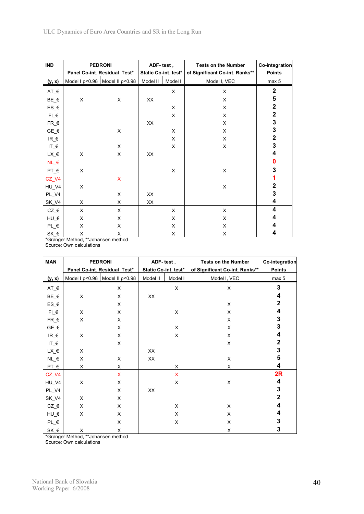| <b>IND</b>                            | <b>PEDRONI</b>               | ADF-test,                          |                      | <b>Tests on the Number</b> | Co-integration                 |              |
|---------------------------------------|------------------------------|------------------------------------|----------------------|----------------------------|--------------------------------|--------------|
|                                       | Panel Co-int. Residual Test* |                                    | Static Co-int. test* |                            | of Significant Co-int. Ranks** | Points       |
| (y, x)                                |                              | Model I $p<0.98$ Model II $p<0.98$ | Model II             | Model I                    | Model I, VEC                   | max 5        |
| $AT_f$                                |                              |                                    |                      | X                          | X                              | $\mathbf{2}$ |
| $BE$ <sub><math>\xi</math></sub>      | X                            | X                                  | XX                   |                            | X                              | 5            |
| $ES_6$                                |                              |                                    |                      | X                          | X                              | $\mathbf 2$  |
| $FI$ $\varepsilon$                    |                              |                                    |                      | X                          | X                              | $\mathbf 2$  |
| $FR$ $\epsilon$                       |                              |                                    | XX                   |                            | X                              | 3            |
| $GE$ <sub><math>\xi</math></sub>      |                              | X                                  |                      | X                          | X                              | 3            |
| $IR_{-}\epsilon$                      |                              |                                    |                      | X                          | X                              | $\mathbf{2}$ |
| $IT_f$                                |                              | $\times$                           |                      | X                          | X                              | 3            |
| $LX_{-} \in$                          | X                            | X                                  | XX                   |                            |                                | 4            |
| $NL$ $\in$                            |                              |                                    |                      |                            |                                | 0            |
| $PT_f$                                | X                            |                                    |                      | X                          | X                              | 3            |
| $CZ_V4$                               |                              | X                                  |                      |                            |                                | 1            |
| HU_V4                                 | X                            |                                    |                      |                            | X                              | $\mathbf 2$  |
| PL_V4                                 |                              | X                                  | XX                   |                            |                                | 3            |
| SK_V4                                 | X                            | X                                  | XX                   |                            |                                | 4            |
| $CZ$ <sub><math>\epsilon</math></sub> | X                            | X                                  |                      | X                          | X                              | 4            |
| $HU$ $E$                              | X                            | X                                  |                      | X                          | X                              | 4            |
| $PL_E$                                | X                            | X                                  |                      | X                          | X                              | 4            |
| SK_€                                  | X                            | X                                  |                      | X                          | X                              | 4            |

\*Granger Method, \*\*Johansen method

Source: Own calculations

| <b>MAN</b>                       | <b>PEDRONI</b>               | ADF-test,                          |                      | <b>Tests on the Number</b> | Co-integration                 |                         |
|----------------------------------|------------------------------|------------------------------------|----------------------|----------------------------|--------------------------------|-------------------------|
|                                  | Panel Co-int. Residual Test* |                                    | Static Co-int. test* |                            | of Significant Co-int. Ranks** | <b>Points</b>           |
| (y, x)                           |                              | Model I $p<0.98$ Model II $p<0.98$ | Model II             | Model I                    | Model I, VEC                   | max 5                   |
| $AT_f$                           |                              | X                                  |                      | X.                         | X                              | 3                       |
| $BE$ <sub><math>\xi</math></sub> | X                            | X                                  | XX                   |                            |                                | 4                       |
| $ES_E$                           |                              | X                                  |                      |                            | X                              | 2                       |
| $FI_E$                           | X                            | X                                  |                      | X                          | X                              | 4                       |
| $FR$ $E$                         | X                            | X                                  |                      |                            | X                              | 3                       |
| $GE$ <sub><math>\xi</math></sub> |                              | X                                  |                      | X                          | X                              | 3                       |
| $IR_{\text{F}}$                  | X                            | X                                  |                      | X                          | X                              | 4                       |
| IT_ $\varepsilon$                |                              | X                                  |                      |                            | X                              | 2                       |
| $LX_E$                           | X                            |                                    | XX                   |                            |                                | $\mathbf 3$             |
| $NL$ <sup><math>\in</math></sup> | X                            | X                                  | XX                   |                            | X                              | 5                       |
| $PT$ $E$                         | X                            | X                                  |                      | X                          | X                              | 4                       |
| $CZ_V4$                          |                              | X.                                 |                      | $\mathsf{X}$               |                                | 2R                      |
| HU_V4                            | X                            | X                                  |                      | X                          | X                              | 4                       |
| PL_V4                            |                              | X                                  | XX                   |                            |                                | $\mathbf 3$             |
| SK_V4                            | X                            | X                                  |                      |                            |                                | $\overline{\mathbf{2}}$ |
| $CZ$ $\in$                       | X                            | X                                  |                      | X                          | X                              | 4                       |
| $HU$ $E$                         | X                            | X                                  |                      | X                          | X                              | 4                       |
| $PL_E$                           |                              | X                                  |                      | X                          | X                              | 3                       |
| SK_€                             | X                            | X                                  |                      |                            | X                              | 3                       |

\*Granger Method, \*\*Johansen method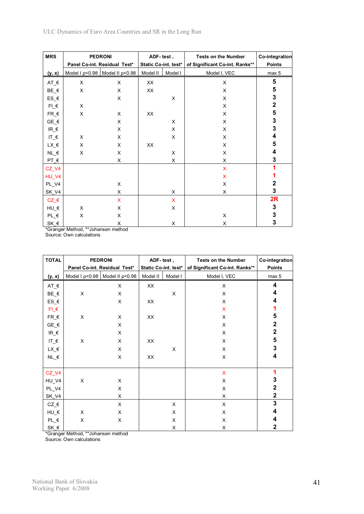| <b>MRS</b>                            | <b>PEDRONI</b>               | ADF-test,                          |                      | <b>Tests on the Number</b> | Co-integration                 |               |
|---------------------------------------|------------------------------|------------------------------------|----------------------|----------------------------|--------------------------------|---------------|
|                                       | Panel Co-int. Residual Test* |                                    | Static Co-int. test* |                            | of Significant Co-int. Ranks** | <b>Points</b> |
| <u>(y, x)</u>                         |                              | Model I $p<0.98$ Model II $p<0.98$ | Model II             | Model I                    | Model I, VEC                   | max 5         |
| $AT_f$                                | X                            | X                                  | XX                   |                            | X                              | 5             |
| $BE$ <sub><math>\xi</math></sub>      | X                            | X                                  | XX                   |                            | X                              | 5             |
| $ES_E$                                |                              | X                                  |                      | X                          | X                              | 3             |
| $FI$ $\varepsilon$                    | X                            |                                    |                      |                            | X                              | $\mathbf 2$   |
| $FR$ $E$                              | X                            | X                                  | XX                   |                            | X                              | 5             |
| $GE$ <sub><math>\xi</math></sub>      |                              | X                                  |                      | X                          | X                              | 3             |
| $IR_{-}\epsilon$                      |                              | X                                  |                      | X                          | X                              | 3             |
| $IT_{-} \in$                          | X                            | X                                  |                      | X                          | X                              | 4             |
| $LX$ <sup><math>\in</math></sup>      | X                            | X                                  | XX                   |                            | X                              | 5             |
| $NL$ $\in$                            | X                            | X                                  |                      | X                          | X                              | 4             |
| $PT_{\epsilon}$                       |                              | X                                  |                      | X                          | X                              | 3             |
| CZ_V4                                 |                              |                                    |                      |                            | X                              |               |
| HU_V4                                 |                              |                                    |                      |                            | X                              |               |
| PL_V4                                 |                              | X                                  |                      |                            | X                              | 2             |
| <b>SK_V4</b>                          |                              | X                                  |                      | X                          | X                              | 3             |
| $CZ$ <sub><math>\epsilon</math></sub> |                              | X                                  |                      | $\mathsf{X}$               |                                | 2R            |
| $HU$ $E$                              | X                            | X                                  |                      | X                          |                                | 3             |
| $PL$ $\in$                            | X                            | X                                  |                      |                            | X                              | 3             |
| SK_€                                  |                              | X                                  |                      | X                          | X                              | 3             |

\*Granger Method, \*\*Johansen method

Source: Own calculations

| <b>TOTAL</b>                          | <b>PEDRONI</b>               | ADF-test,                          |                      | <b>Tests on the Number</b> | <b>Co-integration</b>          |                         |
|---------------------------------------|------------------------------|------------------------------------|----------------------|----------------------------|--------------------------------|-------------------------|
|                                       | Panel Co-int. Residual Test* |                                    | Static Co-int. test* |                            | of Significant Co-int. Ranks** | <b>Points</b>           |
| (y, x)                                |                              | Model I $p<0.98$ Model II $p<0.98$ | Model II             | Model I                    | Model I, VEC                   | max 5                   |
| $AT_f$                                |                              | X                                  | XX                   |                            | X                              | 4                       |
| $BE$ <sub><math>\xi</math></sub>      | X                            | X                                  |                      | X                          | X                              | 4                       |
| $ES_{\epsilon}$                       |                              | X                                  | XX                   |                            | X                              | 4                       |
| $FI_E$                                |                              |                                    |                      |                            | $\boldsymbol{\mathsf{X}}$      |                         |
| $FR$ $E$                              | X                            | X                                  | XX                   |                            | X                              | 5                       |
| $GE$ <sub><math>\xi</math></sub>      |                              | X                                  |                      |                            | X                              | 2                       |
| $IR_{\text{F}}$                       |                              | X                                  |                      |                            | X                              | $\mathbf 2$             |
| IT_ $\varepsilon$                     | X                            | X                                  | XX                   |                            | X                              | 5                       |
| $LX_E$                                |                              | X                                  |                      | X                          | X                              | $\mathbf 3$             |
| $NL$ $\in$                            |                              | X                                  | XX                   |                            | X                              | 4                       |
|                                       |                              |                                    |                      |                            |                                |                         |
| $CZ_V4$                               |                              |                                    |                      |                            | $\mathsf{X}$                   | 1                       |
| HU_V4                                 | X                            | X                                  |                      |                            | X                              | 3                       |
| PL_V4                                 |                              | X                                  |                      |                            | X                              | $\mathbf 2$             |
| SK_V4                                 |                              | X                                  |                      |                            | X                              | $\overline{\mathbf{2}}$ |
| $CZ$ <sub><math>\epsilon</math></sub> |                              | X                                  |                      | X                          | X                              | $\mathbf 3$             |
| $HU$ $E$                              | X                            | X                                  |                      | X                          | X                              | 4                       |
| $PL \in$                              | X                            | X                                  |                      | X                          | X                              | 4                       |
| S <u>K</u> _€                         |                              |                                    |                      | X                          | X                              | $\mathbf 2$             |

\*Granger Method, \*\*Johansen method